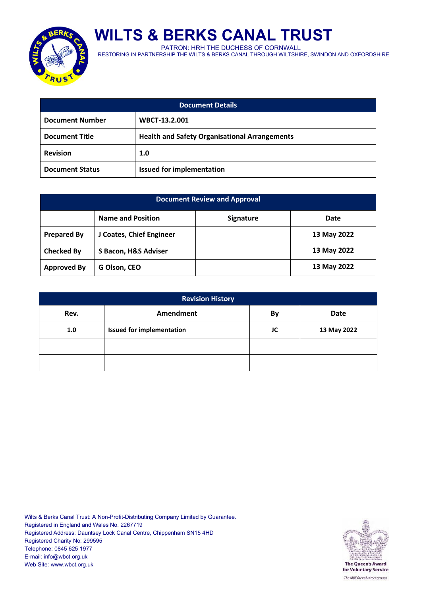

**WILTS & BERKS CANAL TRUST**

PATRON: HRH THE DUCHESS OF CORNWALL

RESTORING IN PARTNERSHIP THE WILTS & BERKS CANAL THROUGH WILTSHIRE, SWINDON AND OXFORDSHIRE

| <b>Document Details</b>                                                       |                                  |  |  |
|-------------------------------------------------------------------------------|----------------------------------|--|--|
| <b>Document Number</b>                                                        | WBCT-13.2.001                    |  |  |
| <b>Health and Safety Organisational Arrangements</b><br><b>Document Title</b> |                                  |  |  |
| <b>Revision</b>                                                               | 1.0                              |  |  |
| <b>Document Status</b>                                                        | <b>Issued for implementation</b> |  |  |

| <b>Document Review and Approval</b> |                          |                  |             |  |
|-------------------------------------|--------------------------|------------------|-------------|--|
|                                     | <b>Name and Position</b> | <b>Signature</b> | Date        |  |
| <b>Prepared By</b>                  | J Coates, Chief Engineer |                  | 13 May 2022 |  |
| <b>Checked By</b>                   | S Bacon, H&S Adviser     |                  | 13 May 2022 |  |
| <b>Approved By</b>                  | G Olson, CEO             |                  | 13 May 2022 |  |

| <b>Revision History</b> |                                  |    |             |
|-------------------------|----------------------------------|----|-------------|
| Rev.                    | Amendment                        | By | Date        |
| 1.0                     | <b>Issued for implementation</b> | JC | 13 May 2022 |
|                         |                                  |    |             |
|                         |                                  |    |             |

Wilts & Berks Canal Trust: A Non-Profit-Distributing Company Limited by Guarantee. Registered in England and Wales No. 2267719 Registered Address: Dauntsey Lock Canal Centre, Chippenham SN15 4HD Registered Charity No: 299595 Telephone: 0845 625 1977 E-mail: info@wbct.org.uk Web Site: www.wbct.org.uk

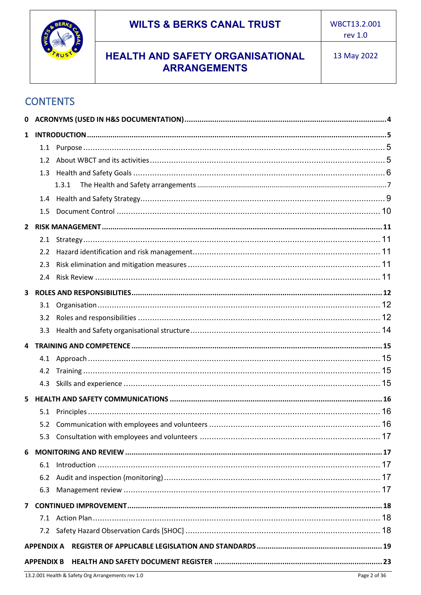

# **CONTENTS**

| $\mathbf{1}$<br>1.2<br>1.3<br>1.3.1<br>1.4<br>1.5<br>2.1<br>2.2<br>2.3<br>2.4<br>3<br>3.2<br>4.2<br>4.3<br>5<br>6<br>6.1<br>6.2<br>6.3<br>7.2<br><b>APPENDIX A</b><br><b>APPENDIX B</b> | 0 |  |  |
|-----------------------------------------------------------------------------------------------------------------------------------------------------------------------------------------|---|--|--|
|                                                                                                                                                                                         |   |  |  |
|                                                                                                                                                                                         |   |  |  |
|                                                                                                                                                                                         |   |  |  |
|                                                                                                                                                                                         |   |  |  |
|                                                                                                                                                                                         |   |  |  |
|                                                                                                                                                                                         |   |  |  |
|                                                                                                                                                                                         |   |  |  |
|                                                                                                                                                                                         |   |  |  |
|                                                                                                                                                                                         |   |  |  |
|                                                                                                                                                                                         |   |  |  |
|                                                                                                                                                                                         |   |  |  |
|                                                                                                                                                                                         |   |  |  |
|                                                                                                                                                                                         |   |  |  |
|                                                                                                                                                                                         |   |  |  |
|                                                                                                                                                                                         |   |  |  |
|                                                                                                                                                                                         |   |  |  |
|                                                                                                                                                                                         |   |  |  |
|                                                                                                                                                                                         |   |  |  |
|                                                                                                                                                                                         |   |  |  |
|                                                                                                                                                                                         |   |  |  |
|                                                                                                                                                                                         |   |  |  |
|                                                                                                                                                                                         |   |  |  |
|                                                                                                                                                                                         |   |  |  |
|                                                                                                                                                                                         |   |  |  |
|                                                                                                                                                                                         |   |  |  |
|                                                                                                                                                                                         |   |  |  |
|                                                                                                                                                                                         |   |  |  |
|                                                                                                                                                                                         |   |  |  |
|                                                                                                                                                                                         |   |  |  |
|                                                                                                                                                                                         |   |  |  |
|                                                                                                                                                                                         |   |  |  |
|                                                                                                                                                                                         |   |  |  |
|                                                                                                                                                                                         |   |  |  |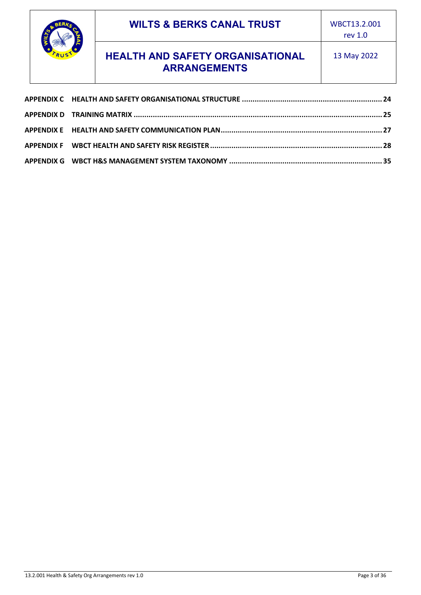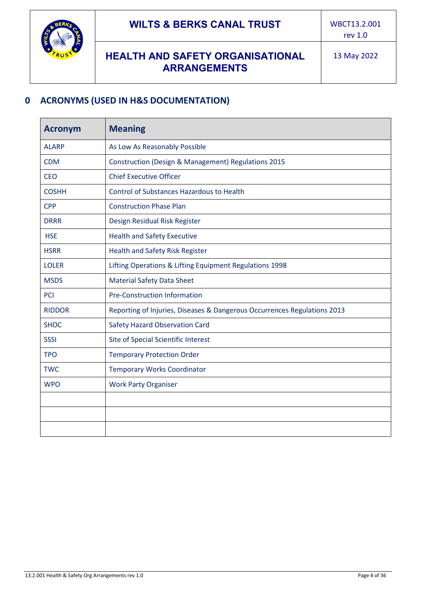

## <span id="page-3-0"></span>**0 ACRONYMS (USED IN H&S DOCUMENTATION)**

| <b>Acronym</b> | <b>Meaning</b>                                                           |  |  |
|----------------|--------------------------------------------------------------------------|--|--|
| <b>ALARP</b>   | As Low As Reasonably Possible                                            |  |  |
| <b>CDM</b>     | <b>Construction (Design &amp; Management) Regulations 2015</b>           |  |  |
| <b>CEO</b>     | <b>Chief Executive Officer</b>                                           |  |  |
| <b>COSHH</b>   | <b>Control of Substances Hazardous to Health</b>                         |  |  |
| <b>CPP</b>     | <b>Construction Phase Plan</b>                                           |  |  |
| <b>DRRR</b>    | Design Residual Risk Register                                            |  |  |
| <b>HSE</b>     | <b>Health and Safety Executive</b>                                       |  |  |
| <b>HSRR</b>    | Health and Safety Risk Register                                          |  |  |
| <b>LOLER</b>   | Lifting Operations & Lifting Equipment Regulations 1998                  |  |  |
| <b>MSDS</b>    | <b>Material Safety Data Sheet</b>                                        |  |  |
| PCI            | <b>Pre-Construction Information</b>                                      |  |  |
| <b>RIDDOR</b>  | Reporting of Injuries, Diseases & Dangerous Occurrences Regulations 2013 |  |  |
| <b>SHOC</b>    | <b>Safety Hazard Observation Card</b>                                    |  |  |
| <b>SSSI</b>    | Site of Special Scientific Interest                                      |  |  |
| <b>TPO</b>     | <b>Temporary Protection Order</b>                                        |  |  |
| <b>TWC</b>     | <b>Temporary Works Coordinator</b>                                       |  |  |
| <b>WPO</b>     | <b>Work Party Organiser</b>                                              |  |  |
|                |                                                                          |  |  |
|                |                                                                          |  |  |
|                |                                                                          |  |  |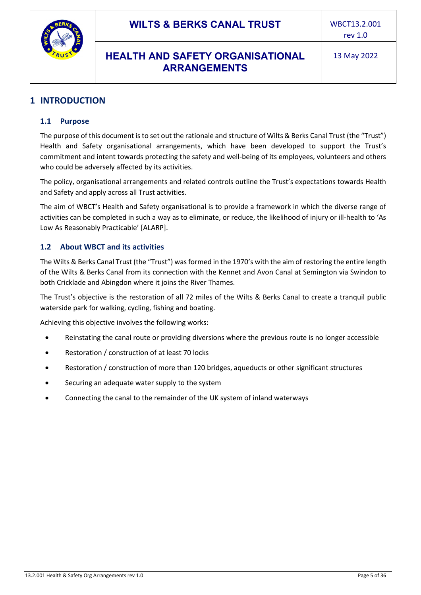



## <span id="page-4-1"></span><span id="page-4-0"></span>**1 INTRODUCTION**

#### **1.1 Purpose**

The purpose of this document is to set out the rationale and structure of Wilts & Berks Canal Trust (the "Trust") Health and Safety organisational arrangements, which have been developed to support the Trust's commitment and intent towards protecting the safety and well-being of its employees, volunteers and others who could be adversely affected by its activities.

The policy, organisational arrangements and related controls outline the Trust's expectations towards Health and Safety and apply across all Trust activities.

The aim of WBCT's Health and Safety organisational is to provide a framework in which the diverse range of activities can be completed in such a way as to eliminate, or reduce, the likelihood of injury or ill-health to 'As Low As Reasonably Practicable' [ALARP].

#### <span id="page-4-2"></span>**1.2 About WBCT and its activities**

The Wilts & Berks Canal Trust (the "Trust") was formed in the 1970's with the aim of restoring the entire length of the Wilts & Berks Canal from its connection with the Kennet and Avon Canal at Semington via Swindon to both Cricklade and Abingdon where it joins the River Thames.

The Trust's objective is the restoration of all 72 miles of the Wilts & Berks Canal to create a tranquil public waterside park for walking, cycling, fishing and boating.

Achieving this objective involves the following works:

- Reinstating the canal route or providing diversions where the previous route is no longer accessible
- Restoration / construction of at least 70 locks
- Restoration / construction of more than 120 bridges, aqueducts or other significant structures
- Securing an adequate water supply to the system
- Connecting the canal to the remainder of the UK system of inland waterways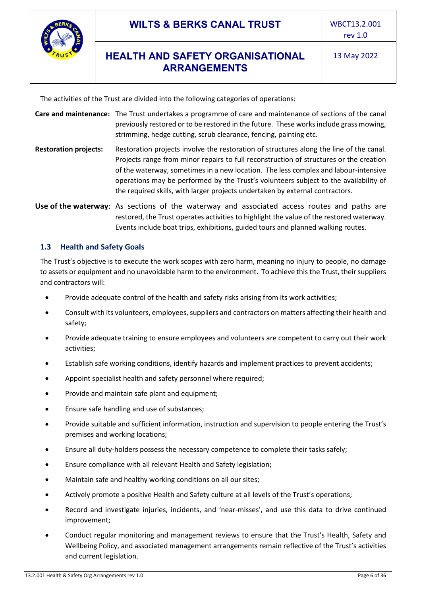

The activities of the Trust are divided into the following categories of operations:

- **Care and maintenance:** The Trust undertakes a programme of care and maintenance of sections of the canal previously restored or to be restored in the future. These works include grass mowing, strimming, hedge cutting, scrub clearance, fencing, painting etc.
- **Restoration projects:** Restoration projects involve the restoration of structures along the line of the canal. Projects range from minor repairs to full reconstruction of structures or the creation of the waterway, sometimes in a new location. The less complex and labour-intensive operations may be performed by the Trust's volunteers subject to the availability of the required skills, with larger projects undertaken by external contractors.

**Use of the waterway**: As sections of the waterway and associated access routes and paths are restored, the Trust operates activities to highlight the value of the restored waterway. Events include boat trips, exhibitions, guided tours and planned walking routes.

## <span id="page-5-0"></span>**1.3 Health and Safety Goals**

The Trust's objective is to execute the work scopes with zero harm, meaning no injury to people, no damage to assets or equipment and no unavoidable harm to the environment. To achieve this the Trust, their suppliers and contractors will:

- Provide adequate control of the health and safety risks arising from its work activities;
- Consult with its volunteers, employees, suppliers and contractors on matters affecting their health and safety;
- Provide adequate training to ensure employees and volunteers are competent to carry out their work activities;
- Establish safe working conditions, identify hazards and implement practices to prevent accidents;
- Appoint specialist health and safety personnel where required:
- Provide and maintain safe plant and equipment;
- Ensure safe handling and use of substances;
- Provide suitable and sufficient information, instruction and supervision to people entering the Trust's premises and working locations;
- Ensure all duty-holders possess the necessary competence to complete their tasks safely;
- Ensure compliance with all relevant Health and Safety legislation;
- Maintain safe and healthy working conditions on all our sites;
- Actively promote a positive Health and Safety culture at all levels of the Trust's operations;
- Record and investigate injuries, incidents, and 'near-misses', and use this data to drive continued improvement;
- Conduct regular monitoring and management reviews to ensure that the Trust's Health, Safety and Wellbeing Policy, and associated management arrangements remain reflective of the Trust's activities and current legislation.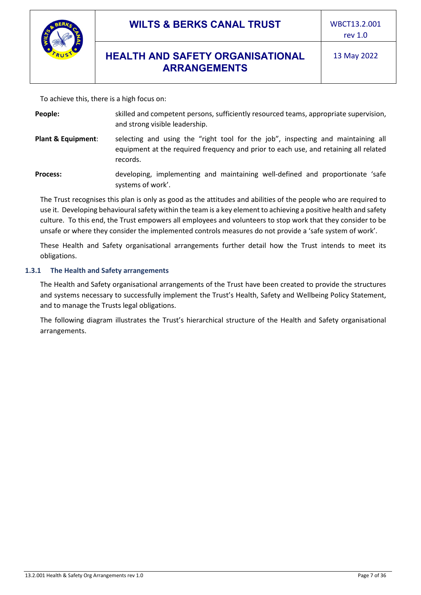

To achieve this, there is a high focus on:

| People: | skilled and competent persons, sufficiently resourced teams, appropriate supervision, |
|---------|---------------------------------------------------------------------------------------|
|         | and strong visible leadership.                                                        |

**Plant & Equipment**: selecting and using the "right tool for the job", inspecting and maintaining all equipment at the required frequency and prior to each use, and retaining all related records.

**Process:** developing, implementing and maintaining well-defined and proportionate 'safe systems of work'.

The Trust recognises this plan is only as good as the attitudes and abilities of the people who are required to use it. Developing behavioural safety within the team is a key element to achieving a positive health and safety culture. To this end, the Trust empowers all employees and volunteers to stop work that they consider to be unsafe or where they consider the implemented controls measures do not provide a 'safe system of work'.

These Health and Safety organisational arrangements further detail how the Trust intends to meet its obligations.

#### <span id="page-6-0"></span>**1.3.1 The Health and Safety arrangements**

The Health and Safety organisational arrangements of the Trust have been created to provide the structures and systems necessary to successfully implement the Trust's Health, Safety and Wellbeing Policy Statement, and to manage the Trusts legal obligations.

The following diagram illustrates the Trust's hierarchical structure of the Health and Safety organisational arrangements.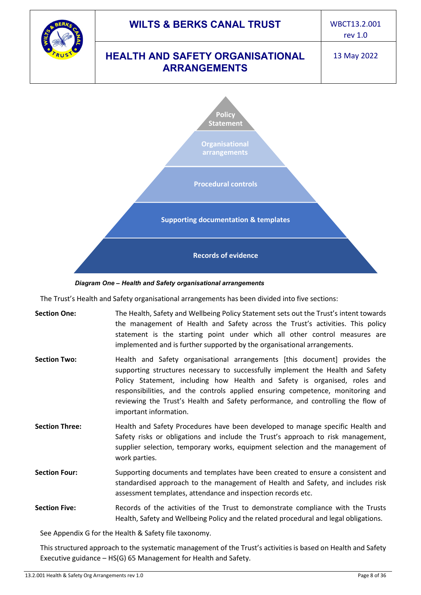

*Diagram One – Health and Safety organisational arrangements* 

The Trust's Health and Safety organisational arrangements has been divided into five sections:

| <b>Section One:</b>   | The Health, Safety and Wellbeing Policy Statement sets out the Trust's intent towards<br>the management of Health and Safety across the Trust's activities. This policy<br>statement is the starting point under which all other control measures are<br>implemented and is further supported by the organisational arrangements.                                                                                                          |
|-----------------------|--------------------------------------------------------------------------------------------------------------------------------------------------------------------------------------------------------------------------------------------------------------------------------------------------------------------------------------------------------------------------------------------------------------------------------------------|
| <b>Section Two:</b>   | Health and Safety organisational arrangements [this document] provides the<br>supporting structures necessary to successfully implement the Health and Safety<br>Policy Statement, including how Health and Safety is organised, roles and<br>responsibilities, and the controls applied ensuring competence, monitoring and<br>reviewing the Trust's Health and Safety performance, and controlling the flow of<br>important information. |
| <b>Section Three:</b> | Health and Safety Procedures have been developed to manage specific Health and<br>Safety risks or obligations and include the Trust's approach to risk management,<br>supplier selection, temporary works, equipment selection and the management of<br>work parties.                                                                                                                                                                      |
| <b>Section Four:</b>  | Supporting documents and templates have been created to ensure a consistent and<br>standardised approach to the management of Health and Safety, and includes risk<br>assessment templates, attendance and inspection records etc.                                                                                                                                                                                                         |
| <b>Section Five:</b>  | Records of the activities of the Trust to demonstrate compliance with the Trusts<br>Health, Safety and Wellbeing Policy and the related procedural and legal obligations.                                                                                                                                                                                                                                                                  |

See [Appendix G](#page-34-0) for the Health & Safety file taxonomy.

This structured approach to the systematic management of the Trust's activities is based on Health and Safety Executive guidance – HS(G) 65 Management for Health and Safety.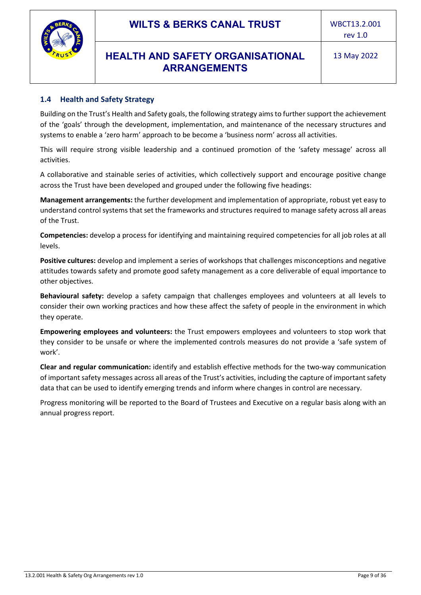



<span id="page-8-0"></span>Building on the Trust's Health and Safety goals, the following strategy aims to further support the achievement of the 'goals' through the development, implementation, and maintenance of the necessary structures and systems to enable a 'zero harm' approach to be become a 'business norm' across all activities.

This will require strong visible leadership and a continued promotion of the 'safety message' across all activities.

A collaborative and stainable series of activities, which collectively support and encourage positive change across the Trust have been developed and grouped under the following five headings:

**Management arrangements:** the further development and implementation of appropriate, robust yet easy to understand control systems that set the frameworks and structures required to manage safety across all areas of the Trust.

**Competencies:** develop a process for identifying and maintaining required competencies for all job roles at all levels.

**Positive cultures:** develop and implement a series of workshops that challenges misconceptions and negative attitudes towards safety and promote good safety management as a core deliverable of equal importance to other objectives.

**Behavioural safety:** develop a safety campaign that challenges employees and volunteers at all levels to consider their own working practices and how these affect the safety of people in the environment in which they operate.

**Empowering employees and volunteers:** the Trust empowers employees and volunteers to stop work that they consider to be unsafe or where the implemented controls measures do not provide a 'safe system of work'.

**Clear and regular communication:** identify and establish effective methods for the two-way communication of important safety messages across all areas of the Trust's activities, including the capture of important safety data that can be used to identify emerging trends and inform where changes in control are necessary.

<span id="page-8-1"></span>Progress monitoring will be reported to the Board of Trustees and Executive on a regular basis along with an annual progress report.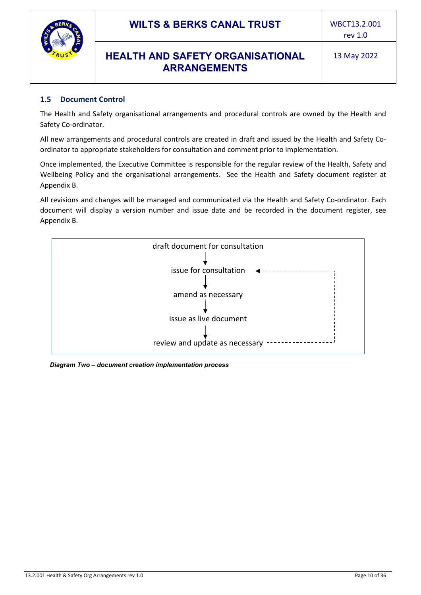![](_page_9_Picture_0.jpeg)

#### **1.5 Document Control**

The Health and Safety organisational arrangements and procedural controls are owned by the Health and Safety Co-ordinator.

All new arrangements and procedural controls are created in draft and issued by the Health and Safety Coordinator to appropriate stakeholders for consultation and comment prior to implementation.

Once implemented, the Executive Committee is responsible for the regular review of the Health, Safety and Wellbeing Policy and the organisational arrangements. See the Health and Safety document register at [Appendix B.](#page-22-0)

All revisions and changes will be managed and communicated via the Health and Safety Co-ordinator. Each document will display a version number and issue date and be recorded in the document register, see [Appendix B.](#page-22-0)

![](_page_9_Figure_10.jpeg)

*Diagram Two – document creation implementation process*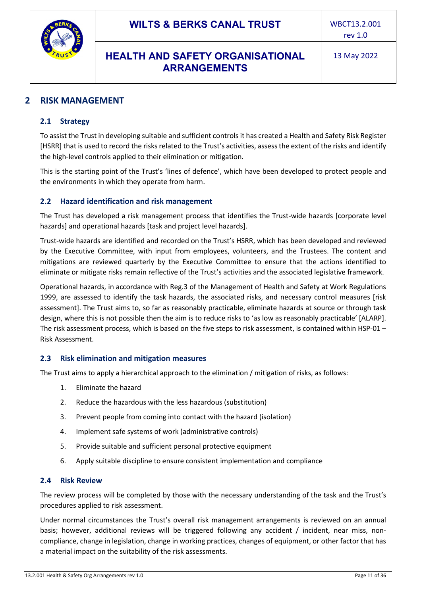![](_page_10_Picture_0.jpeg)

## <span id="page-10-1"></span><span id="page-10-0"></span>**2 RISK MANAGEMENT**

#### **2.1 Strategy**

To assist the Trust in developing suitable and sufficient controls it has created a Health and Safety Risk Register [HSRR] that is used to record the risks related to the Trust's activities, assess the extent of the risks and identify the high-level controls applied to their elimination or mitigation.

This is the starting point of the Trust's 'lines of defence', which have been developed to protect people and the environments in which they operate from harm.

#### <span id="page-10-2"></span>**2.2 Hazard identification and risk management**

The Trust has developed a risk management process that identifies the Trust-wide hazards [corporate level hazards] and operational hazards [task and project level hazards].

Trust-wide hazards are identified and recorded on the Trust's HSRR, which has been developed and reviewed by the Executive Committee, with input from employees, volunteers, and the Trustees. The content and mitigations are reviewed quarterly by the Executive Committee to ensure that the actions identified to eliminate or mitigate risks remain reflective of the Trust's activities and the associated legislative framework.

Operational hazards, in accordance with Reg.3 of the Management of Health and Safety at Work Regulations 1999, are assessed to identify the task hazards, the associated risks, and necessary control measures [risk assessment]. The Trust aims to, so far as reasonably practicable, eliminate hazards at source or through task design, where this is not possible then the aim is to reduce risks to 'as low as reasonably practicable' [ALARP]. The risk assessment process, which is based on the five steps to risk assessment, is contained within HSP-01 – Risk Assessment.

#### <span id="page-10-3"></span>**2.3 Risk elimination and mitigation measures**

The Trust aims to apply a hierarchical approach to the elimination / mitigation of risks, as follows:

- 1. Eliminate the hazard
- 2. Reduce the hazardous with the less hazardous (substitution)
- 3. Prevent people from coming into contact with the hazard (isolation)
- 4. Implement safe systems of work (administrative controls)
- 5. Provide suitable and sufficient personal protective equipment
- 6. Apply suitable discipline to ensure consistent implementation and compliance

#### <span id="page-10-4"></span>**2.4 Risk Review**

The review process will be completed by those with the necessary understanding of the task and the Trust's procedures applied to risk assessment.

Under normal circumstances the Trust's overall risk management arrangements is reviewed on an annual basis; however, additional reviews will be triggered following any accident / incident, near miss, noncompliance, change in legislation, change in working practices, changes of equipment, or other factor that has a material impact on the suitability of the risk assessments.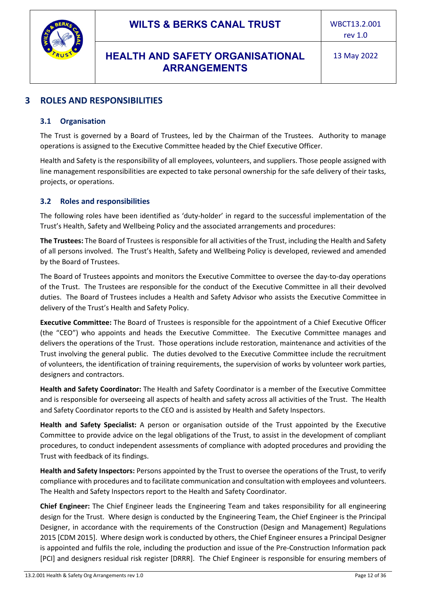![](_page_11_Picture_0.jpeg)

## <span id="page-11-1"></span><span id="page-11-0"></span>**3 ROLES AND RESPONSIBILITIES**

#### **3.1 Organisation**

The Trust is governed by a Board of Trustees, led by the Chairman of the Trustees. Authority to manage operations is assigned to the Executive Committee headed by the Chief Executive Officer.

Health and Safety is the responsibility of all employees, volunteers, and suppliers. Those people assigned with line management responsibilities are expected to take personal ownership for the safe delivery of their tasks, projects, or operations.

#### <span id="page-11-2"></span>**3.2 Roles and responsibilities**

The following roles have been identified as 'duty-holder' in regard to the successful implementation of the Trust's Health, Safety and Wellbeing Policy and the associated arrangements and procedures:

**The Trustees:** The Board of Trustees is responsible for all activities of the Trust, including the Health and Safety of all persons involved. The Trust's Health, Safety and Wellbeing Policy is developed, reviewed and amended by the Board of Trustees.

The Board of Trustees appoints and monitors the Executive Committee to oversee the day-to-day operations of the Trust. The Trustees are responsible for the conduct of the Executive Committee in all their devolved duties. The Board of Trustees includes a Health and Safety Advisor who assists the Executive Committee in delivery of the Trust's Health and Safety Policy.

**Executive Committee:** The Board of Trustees is responsible for the appointment of a Chief Executive Officer (the "CEO") who appoints and heads the Executive Committee. The Executive Committee manages and delivers the operations of the Trust. Those operations include restoration, maintenance and activities of the Trust involving the general public. The duties devolved to the Executive Committee include the recruitment of volunteers, the identification of training requirements, the supervision of works by volunteer work parties, designers and contractors.

**Health and Safety Coordinator:** The Health and Safety Coordinator is a member of the Executive Committee and is responsible for overseeing all aspects of health and safety across all activities of the Trust. The Health and Safety Coordinator reports to the CEO and is assisted by Health and Safety Inspectors.

**Health and Safety Specialist:** A person or organisation outside of the Trust appointed by the Executive Committee to provide advice on the legal obligations of the Trust, to assist in the development of compliant procedures, to conduct independent assessments of compliance with adopted procedures and providing the Trust with feedback of its findings.

**Health and Safety Inspectors:** Persons appointed by the Trust to oversee the operations of the Trust, to verify compliance with procedures and to facilitate communication and consultation with employees and volunteers. The Health and Safety Inspectors report to the Health and Safety Coordinator.

**Chief Engineer:** The Chief Engineer leads the Engineering Team and takes responsibility for all engineering design for the Trust. Where design is conducted by the Engineering Team, the Chief Engineer is the Principal Designer, in accordance with the requirements of the Construction (Design and Management) Regulations 2015 [CDM 2015]. Where design work is conducted by others, the Chief Engineer ensures a Principal Designer is appointed and fulfils the role, including the production and issue of the Pre-Construction Information pack [PCI] and designers residual risk register [DRRR]. The Chief Engineer is responsible for ensuring members of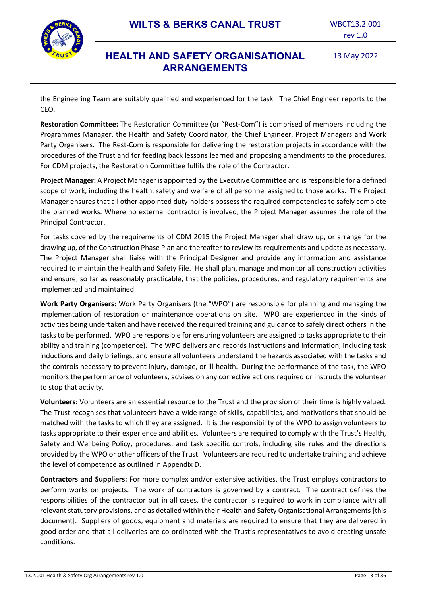![](_page_12_Picture_2.jpeg)

the Engineering Team are suitably qualified and experienced for the task. The Chief Engineer reports to the CEO.

**Restoration Committee:** The Restoration Committee (or "Rest-Com") is comprised of members including the Programmes Manager, the Health and Safety Coordinator, the Chief Engineer, Project Managers and Work Party Organisers. The Rest-Com is responsible for delivering the restoration projects in accordance with the procedures of the Trust and for feeding back lessons learned and proposing amendments to the procedures. For CDM projects, the Restoration Committee fulfils the role of the Contractor.

**Project Manager:** A Project Manager is appointed by the Executive Committee and is responsible for a defined scope of work, including the health, safety and welfare of all personnel assigned to those works. The Project Manager ensures that all other appointed duty-holders possess the required competencies to safely complete the planned works. Where no external contractor is involved, the Project Manager assumes the role of the Principal Contractor.

For tasks covered by the requirements of CDM 2015 the Project Manager shall draw up, or arrange for the drawing up, of the Construction Phase Plan and thereafter to review its requirements and update as necessary. The Project Manager shall liaise with the Principal Designer and provide any information and assistance required to maintain the Health and Safety File. He shall plan, manage and monitor all construction activities and ensure, so far as reasonably practicable, that the policies, procedures, and regulatory requirements are implemented and maintained.

**Work Party Organisers:** Work Party Organisers (the "WPO") are responsible for planning and managing the implementation of restoration or maintenance operations on site. WPO are experienced in the kinds of activities being undertaken and have received the required training and guidance to safely direct others in the tasks to be performed. WPO are responsible for ensuring volunteers are assigned to tasks appropriate to their ability and training (competence). The WPO delivers and records instructions and information, including task inductions and daily briefings, and ensure all volunteers understand the hazards associated with the tasks and the controls necessary to prevent injury, damage, or ill-health. During the performance of the task, the WPO monitors the performance of volunteers, advises on any corrective actions required or instructs the volunteer to stop that activity.

**Volunteers:** Volunteers are an essential resource to the Trust and the provision of their time is highly valued. The Trust recognises that volunteers have a wide range of skills, capabilities, and motivations that should be matched with the tasks to which they are assigned. It is the responsibility of the WPO to assign volunteers to tasks appropriate to their experience and abilities. Volunteers are required to comply with the Trust's Health, Safety and Wellbeing Policy, procedures, and task specific controls, including site rules and the directions provided by the WPO or other officers of the Trust. Volunteers are required to undertake training and achieve the level of competence as outlined in [Appendix D.](#page-24-0)

**Contractors and Suppliers:** For more complex and/or extensive activities, the Trust employs contractors to perform works on projects. The work of contractors is governed by a contract. The contract defines the responsibilities of the contractor but in all cases, the contractor is required to work in compliance with all relevant statutory provisions, and as detailed within their Health and Safety Organisational Arrangements [this document]. Suppliers of goods, equipment and materials are required to ensure that they are delivered in good order and that all deliveries are co-ordinated with the Trust's representatives to avoid creating unsafe conditions.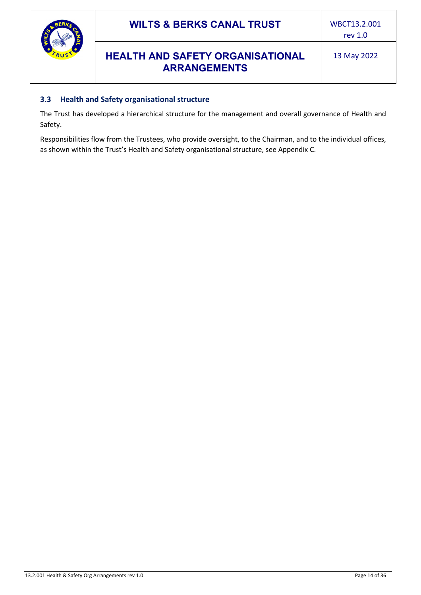![](_page_13_Picture_0.jpeg)

#### <span id="page-13-0"></span>**3.3 Health and Safety organisational structure**

The Trust has developed a hierarchical structure for the management and overall governance of Health and Safety.

<span id="page-13-1"></span>Responsibilities flow from the Trustees, who provide oversight, to the Chairman, and to the individual offices, as shown within the Trust's Health and Safety organisational structure, see [Appendix C.](#page-23-0)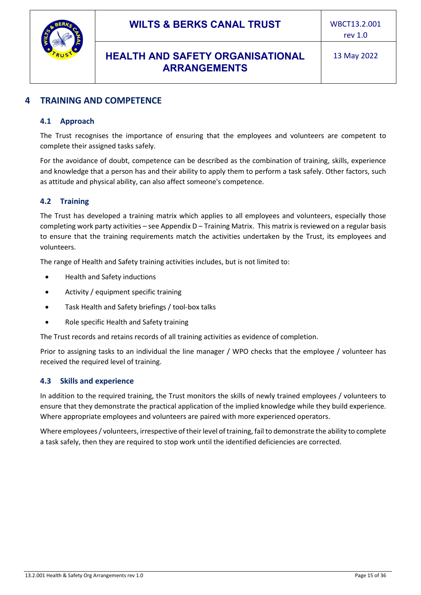![](_page_14_Picture_0.jpeg)

## <span id="page-14-0"></span>**4 TRAINING AND COMPETENCE**

#### **4.1 Approach**

The Trust recognises the importance of ensuring that the employees and volunteers are competent to complete their assigned tasks safely.

For the avoidance of doubt, competence can be described as the combination of training, skills, experience and knowledge that a person has and their ability to apply them to perform a task safely. Other factors, such as attitude and physical ability, can also affect someone's competence.

#### <span id="page-14-1"></span>**4.2 Training**

The Trust has developed a training matrix which applies to all employees and volunteers, especially those completing work party activities – see [Appendix D](#page-24-0) – Training Matrix. This matrix is reviewed on a regular basis to ensure that the training requirements match the activities undertaken by the Trust, its employees and volunteers.

The range of Health and Safety training activities includes, but is not limited to:

- Health and Safety inductions
- Activity / equipment specific training
- Task Health and Safety briefings / tool-box talks
- Role specific Health and Safety training

The Trust records and retains records of all training activities as evidence of completion.

Prior to assigning tasks to an individual the line manager / WPO checks that the employee / volunteer has received the required level of training.

#### <span id="page-14-2"></span>**4.3 Skills and experience**

In addition to the required training, the Trust monitors the skills of newly trained employees / volunteers to ensure that they demonstrate the practical application of the implied knowledge while they build experience. Where appropriate employees and volunteers are paired with more experienced operators.

Where employees / volunteers, irrespective of their level of training, fail to demonstrate the ability to complete a task safely, then they are required to stop work until the identified deficiencies are corrected.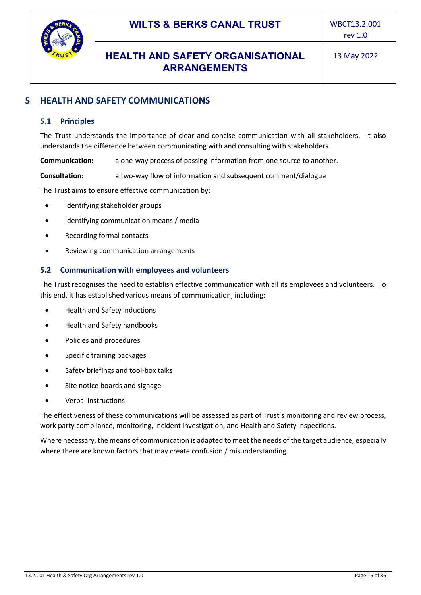![](_page_15_Picture_0.jpeg)

# <span id="page-15-1"></span><span id="page-15-0"></span>**5 HEALTH AND SAFETY COMMUNICATIONS**

#### **5.1 Principles**

The Trust understands the importance of clear and concise communication with all stakeholders. It also understands the difference between communicating with and consulting with stakeholders.

**Communication:** a one-way process of passing information from one source to another.

**Consultation:** a two-way flow of information and subsequent comment/dialogue

The Trust aims to ensure effective communication by:

- Identifying stakeholder groups
- Identifying communication means / media
- Recording formal contacts
- Reviewing communication arrangements

#### <span id="page-15-2"></span>**5.2 Communication with employees and volunteers**

The Trust recognises the need to establish effective communication with all its employees and volunteers. To this end, it has established various means of communication, including:

- Health and Safety inductions
- Health and Safety handbooks
- Policies and procedures
- Specific training packages
- Safety briefings and tool-box talks
- Site notice boards and signage
- Verbal instructions

The effectiveness of these communications will be assessed as part of Trust's monitoring and review process, work party compliance, monitoring, incident investigation, and Health and Safety inspections.

Where necessary, the means of communication is adapted to meet the needs of the target audience, especially where there are known factors that may create confusion / misunderstanding.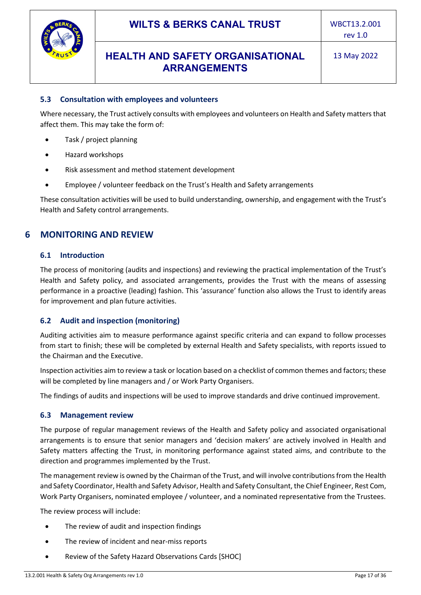![](_page_16_Picture_0.jpeg)

#### <span id="page-16-0"></span>**5.3 Consultation with employees and volunteers**

Where necessary, the Trust actively consults with employees and volunteers on Health and Safety matters that affect them. This may take the form of:

- Task / project planning
- Hazard workshops
- Risk assessment and method statement development
- Employee / volunteer feedback on the Trust's Health and Safety arrangements

These consultation activities will be used to build understanding, ownership, and engagement with the Trust's Health and Safety control arrangements.

#### <span id="page-16-2"></span><span id="page-16-1"></span>**6 MONITORING AND REVIEW**

#### **6.1 Introduction**

The process of monitoring (audits and inspections) and reviewing the practical implementation of the Trust's Health and Safety policy, and associated arrangements, provides the Trust with the means of assessing performance in a proactive (leading) fashion. This 'assurance' function also allows the Trust to identify areas for improvement and plan future activities.

#### <span id="page-16-3"></span>**6.2 Audit and inspection (monitoring)**

Auditing activities aim to measure performance against specific criteria and can expand to follow processes from start to finish; these will be completed by external Health and Safety specialists, with reports issued to the Chairman and the Executive.

Inspection activities aim to review a task or location based on a checklist of common themes and factors; these will be completed by line managers and / or Work Party Organisers.

<span id="page-16-4"></span>The findings of audits and inspections will be used to improve standards and drive continued improvement.

#### **6.3 Management review**

The purpose of regular management reviews of the Health and Safety policy and associated organisational arrangements is to ensure that senior managers and 'decision makers' are actively involved in Health and Safety matters affecting the Trust, in monitoring performance against stated aims, and contribute to the direction and programmes implemented by the Trust.

The management review is owned by the Chairman of the Trust, and will involve contributions from the Health and Safety Coordinator, Health and Safety Advisor, Health and Safety Consultant, the Chief Engineer, Rest Com, Work Party Organisers, nominated employee / volunteer, and a nominated representative from the Trustees.

The review process will include:

- The review of audit and inspection findings
- The review of incident and near-miss reports
- Review of the Safety Hazard Observations Cards [SHOC]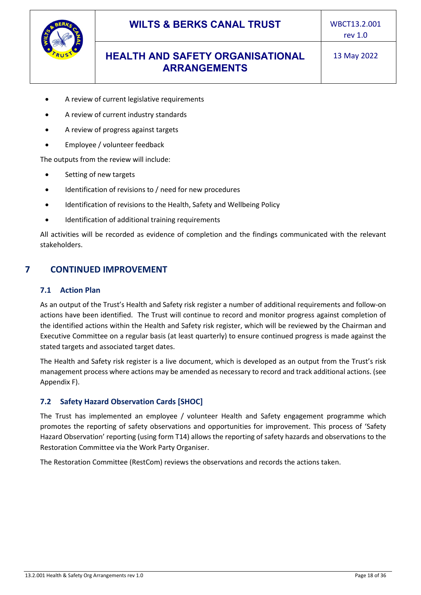![](_page_17_Picture_0.jpeg)

- A review of current legislative requirements
- A review of current industry standards
- A review of progress against targets
- Employee / volunteer feedback

The outputs from the review will include:

- Setting of new targets
- Identification of revisions to / need for new procedures
- Identification of revisions to the Health, Safety and Wellbeing Policy
- Identification of additional training requirements

<span id="page-17-0"></span>All activities will be recorded as evidence of completion and the findings communicated with the relevant stakeholders.

#### <span id="page-17-1"></span>**7 CONTINUED IMPROVEMENT**

#### **7.1 Action Plan**

As an output of the Trust's Health and Safety risk register a number of additional requirements and follow-on actions have been identified. The Trust will continue to record and monitor progress against completion of the identified actions within the Health and Safety risk register, which will be reviewed by the Chairman and Executive Committee on a regular basis (at least quarterly) to ensure continued progress is made against the stated targets and associated target dates.

The Health and Safety risk register is a live document, which is developed as an output from the Trust's risk management process where actions may be amended as necessary to record and track additional actions. (see [Appendix F\)](#page-27-0).

#### <span id="page-17-2"></span>**7.2 Safety Hazard Observation Cards [SHOC]**

The Trust has implemented an employee / volunteer Health and Safety engagement programme which promotes the reporting of safety observations and opportunities for improvement. This process of 'Safety Hazard Observation' reporting (using form T14) allows the reporting of safety hazards and observations to the Restoration Committee via the Work Party Organiser.

The Restoration Committee (RestCom) reviews the observations and records the actions taken.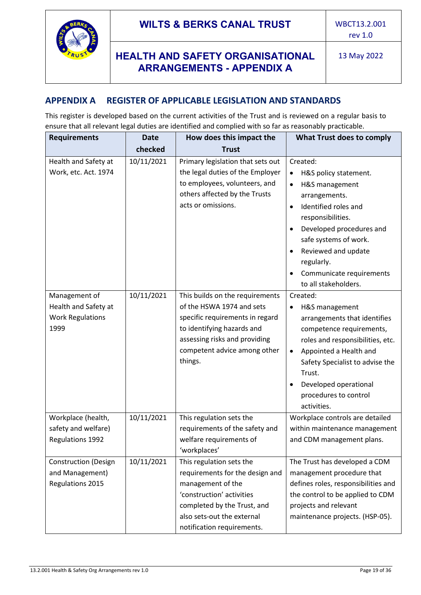![](_page_18_Picture_0.jpeg)

# **HEALTH AND SAFETY ORGANISATIONAL ARRANGEMENTS - APPENDIX A**

13 May 2022

## <span id="page-18-0"></span>**APPENDIX A REGISTER OF APPLICABLE LEGISLATION AND STANDARDS**

This register is developed based on the current activities of the Trust and is reviewed on a regular basis to ensure that all relevant legal duties are identified and complied with so far as reasonably practicable.

| <b>Requirements</b>                                                      | <b>Date</b> | How does this impact the                                                                                                                                                                                  | What Trust does to comply                                                                                                                                                                                                                                                                                           |
|--------------------------------------------------------------------------|-------------|-----------------------------------------------------------------------------------------------------------------------------------------------------------------------------------------------------------|---------------------------------------------------------------------------------------------------------------------------------------------------------------------------------------------------------------------------------------------------------------------------------------------------------------------|
|                                                                          | checked     | <b>Trust</b>                                                                                                                                                                                              |                                                                                                                                                                                                                                                                                                                     |
| Health and Safety at<br>Work, etc. Act. 1974                             | 10/11/2021  | Primary legislation that sets out<br>the legal duties of the Employer<br>to employees, volunteers, and<br>others affected by the Trusts<br>acts or omissions.                                             | Created:<br>H&S policy statement.<br>H&S management<br>$\bullet$<br>arrangements.<br>Identified roles and<br>$\bullet$<br>responsibilities.<br>Developed procedures and<br>$\bullet$<br>safe systems of work.<br>Reviewed and update<br>$\bullet$<br>regularly.<br>Communicate requirements<br>to all stakeholders. |
| Management of<br>Health and Safety at<br><b>Work Regulations</b><br>1999 | 10/11/2021  | This builds on the requirements<br>of the HSWA 1974 and sets<br>specific requirements in regard<br>to identifying hazards and<br>assessing risks and providing<br>competent advice among other<br>things. | Created:<br>H&S management<br>$\bullet$<br>arrangements that identifies<br>competence requirements,<br>roles and responsibilities, etc.<br>Appointed a Health and<br>٠<br>Safety Specialist to advise the<br>Trust.<br>Developed operational<br>$\bullet$<br>procedures to control<br>activities.                   |
| Workplace (health,<br>safety and welfare)<br>Regulations 1992            | 10/11/2021  | This regulation sets the<br>requirements of the safety and<br>welfare requirements of<br>'workplaces'                                                                                                     | Workplace controls are detailed<br>within maintenance management<br>and CDM management plans.                                                                                                                                                                                                                       |
| <b>Construction (Design</b><br>and Management)<br>Regulations 2015       | 10/11/2021  | This regulation sets the<br>requirements for the design and<br>management of the<br>'construction' activities<br>completed by the Trust, and<br>also sets-out the external<br>notification requirements.  | The Trust has developed a CDM<br>management procedure that<br>defines roles, responsibilities and<br>the control to be applied to CDM<br>projects and relevant<br>maintenance projects. (HSP-05).                                                                                                                   |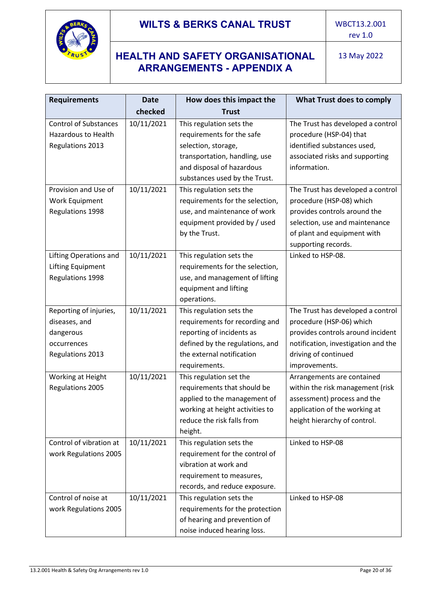![](_page_19_Picture_0.jpeg)

# **HEALTH AND SAFETY ORGANISATIONAL ARRANGEMENTS - APPENDIX A**

| <b>Requirements</b>          | <b>Date</b> | How does this impact the        | What Trust does to comply           |
|------------------------------|-------------|---------------------------------|-------------------------------------|
|                              | checked     | Trust                           |                                     |
| <b>Control of Substances</b> | 10/11/2021  | This regulation sets the        | The Trust has developed a control   |
| Hazardous to Health          |             | requirements for the safe       | procedure (HSP-04) that             |
| <b>Regulations 2013</b>      |             | selection, storage,             | identified substances used,         |
|                              |             | transportation, handling, use   | associated risks and supporting     |
|                              |             | and disposal of hazardous       | information.                        |
|                              |             | substances used by the Trust.   |                                     |
| Provision and Use of         | 10/11/2021  | This regulation sets the        | The Trust has developed a control   |
| Work Equipment               |             | requirements for the selection, | procedure (HSP-08) which            |
| Regulations 1998             |             | use, and maintenance of work    | provides controls around the        |
|                              |             | equipment provided by / used    | selection, use and maintenance      |
|                              |             | by the Trust.                   | of plant and equipment with         |
|                              |             |                                 | supporting records.                 |
| Lifting Operations and       | 10/11/2021  | This regulation sets the        | Linked to HSP-08.                   |
| Lifting Equipment            |             | requirements for the selection, |                                     |
| Regulations 1998             |             | use, and management of lifting  |                                     |
|                              |             | equipment and lifting           |                                     |
|                              |             | operations.                     |                                     |
| Reporting of injuries,       | 10/11/2021  | This regulation sets the        | The Trust has developed a control   |
| diseases, and                |             | requirements for recording and  | procedure (HSP-06) which            |
| dangerous                    |             | reporting of incidents as       | provides controls around incident   |
| occurrences                  |             | defined by the regulations, and | notification, investigation and the |
| <b>Regulations 2013</b>      |             | the external notification       | driving of continued                |
|                              |             | requirements.                   | improvements.                       |
| Working at Height            | 10/11/2021  | This regulation set the         | Arrangements are contained          |
| Regulations 2005             |             | requirements that should be     | within the risk management (risk    |
|                              |             | applied to the management of    | assessment) process and the         |
|                              |             | working at height activities to | application of the working at       |
|                              |             | reduce the risk falls from      | height hierarchy of control.        |
|                              |             | height.                         |                                     |
| Control of vibration at      | 10/11/2021  | This regulation sets the        | Linked to HSP-08                    |
| work Regulations 2005        |             | requirement for the control of  |                                     |
|                              |             | vibration at work and           |                                     |
|                              |             | requirement to measures,        |                                     |
|                              |             | records, and reduce exposure.   |                                     |
| Control of noise at          | 10/11/2021  | This regulation sets the        | Linked to HSP-08                    |
| work Regulations 2005        |             | requirements for the protection |                                     |
|                              |             | of hearing and prevention of    |                                     |
|                              |             | noise induced hearing loss.     |                                     |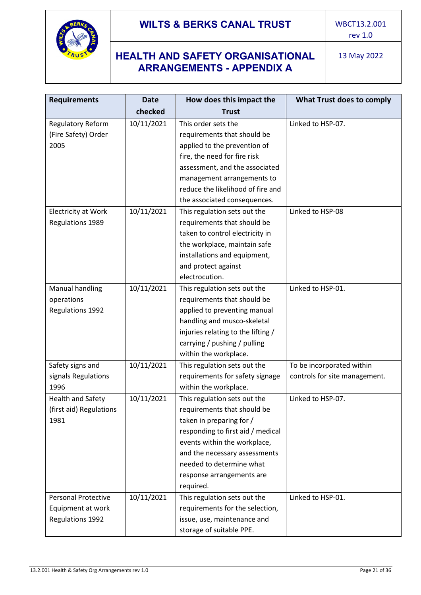![](_page_20_Picture_0.jpeg)

# **HEALTH AND SAFETY ORGANISATIONAL ARRANGEMENTS - APPENDIX A**

| <b>Requirements</b>        | <b>Date</b> | How does this impact the                                        | What Trust does to comply     |
|----------------------------|-------------|-----------------------------------------------------------------|-------------------------------|
|                            | checked     | <b>Trust</b>                                                    |                               |
| Regulatory Reform          | 10/11/2021  | This order sets the                                             | Linked to HSP-07.             |
| (Fire Safety) Order        |             | requirements that should be                                     |                               |
| 2005                       |             | applied to the prevention of                                    |                               |
|                            |             | fire, the need for fire risk                                    |                               |
|                            |             | assessment, and the associated                                  |                               |
|                            |             |                                                                 |                               |
|                            |             | management arrangements to<br>reduce the likelihood of fire and |                               |
|                            |             |                                                                 |                               |
|                            |             | the associated consequences.                                    |                               |
| <b>Electricity at Work</b> | 10/11/2021  | This regulation sets out the                                    | Linked to HSP-08              |
| Regulations 1989           |             | requirements that should be                                     |                               |
|                            |             | taken to control electricity in                                 |                               |
|                            |             | the workplace, maintain safe                                    |                               |
|                            |             | installations and equipment,                                    |                               |
|                            |             | and protect against                                             |                               |
|                            |             | electrocution.                                                  |                               |
| <b>Manual handling</b>     | 10/11/2021  | This regulation sets out the                                    | Linked to HSP-01.             |
| operations                 |             | requirements that should be                                     |                               |
| Regulations 1992           |             | applied to preventing manual                                    |                               |
|                            |             | handling and musco-skeletal                                     |                               |
|                            |             | injuries relating to the lifting /                              |                               |
|                            |             | carrying / pushing / pulling                                    |                               |
|                            |             | within the workplace.                                           |                               |
| Safety signs and           | 10/11/2021  | This regulation sets out the                                    | To be incorporated within     |
| signals Regulations        |             | requirements for safety signage                                 | controls for site management. |
| 1996                       |             | within the workplace.                                           |                               |
| <b>Health and Safety</b>   | 10/11/2021  | This regulation sets out the                                    | Linked to HSP-07.             |
| (first aid) Regulations    |             | requirements that should be                                     |                               |
| 1981                       |             | taken in preparing for /                                        |                               |
|                            |             | responding to first aid / medical                               |                               |
|                            |             | events within the workplace,                                    |                               |
|                            |             | and the necessary assessments                                   |                               |
|                            |             | needed to determine what                                        |                               |
|                            |             | response arrangements are                                       |                               |
|                            |             | required.                                                       |                               |
| <b>Personal Protective</b> | 10/11/2021  | This regulation sets out the                                    | Linked to HSP-01.             |
| Equipment at work          |             | requirements for the selection,                                 |                               |
| Regulations 1992           |             | issue, use, maintenance and                                     |                               |
|                            |             | storage of suitable PPE.                                        |                               |
|                            |             |                                                                 |                               |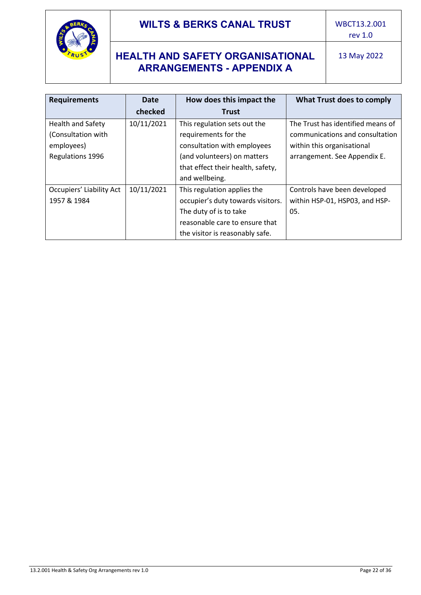![](_page_21_Picture_0.jpeg)

# **HEALTH AND SAFETY ORGANISATIONAL ARRANGEMENTS - APPENDIX A**

| <b>Requirements</b>      | <b>Date</b> | How does this impact the          | What Trust does to comply         |
|--------------------------|-------------|-----------------------------------|-----------------------------------|
|                          | checked     | <b>Trust</b>                      |                                   |
| Health and Safety        | 10/11/2021  | This regulation sets out the      | The Trust has identified means of |
| (Consultation with       |             | requirements for the              | communications and consultation   |
| employees)               |             | consultation with employees       | within this organisational        |
| Regulations 1996         |             | (and volunteers) on matters       | arrangement. See Appendix E.      |
|                          |             | that effect their health, safety, |                                   |
|                          |             | and wellbeing.                    |                                   |
| Occupiers' Liability Act | 10/11/2021  | This regulation applies the       | Controls have been developed      |
| 1957 & 1984              |             | occupier's duty towards visitors. | within HSP-01, HSP03, and HSP-    |
|                          |             | The duty of is to take            | 05.                               |
|                          |             | reasonable care to ensure that    |                                   |
|                          |             | the visitor is reasonably safe.   |                                   |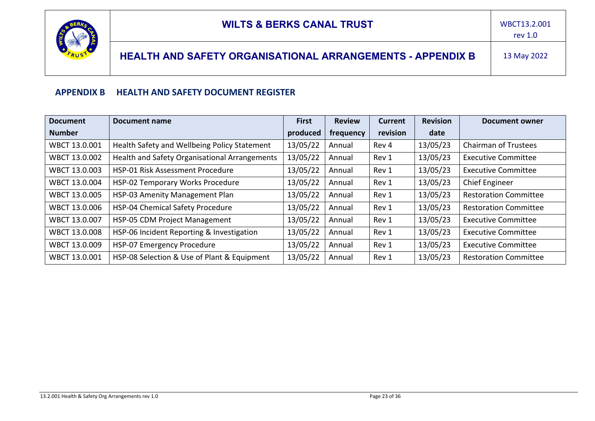![](_page_22_Picture_0.jpeg)

# **HEALTH AND SAFETY ORGANISATIONAL ARRANGEMENTS - APPENDIX B** 13 May 2022

#### **APPENDIX B HEALTH AND SAFETY DOCUMENT REGISTER**

<span id="page-22-0"></span>

| <b>Document</b> | Document name                                 | <b>First</b> | <b>Review</b> | <b>Current</b> | <b>Revision</b> | <b>Document owner</b>        |
|-----------------|-----------------------------------------------|--------------|---------------|----------------|-----------------|------------------------------|
| <b>Number</b>   |                                               | produced     | frequency     | revision       | date            |                              |
| WBCT 13.0.001   | Health Safety and Wellbeing Policy Statement  | 13/05/22     | Annual        | Rev 4          | 13/05/23        | <b>Chairman of Trustees</b>  |
| WBCT 13.0.002   | Health and Safety Organisational Arrangements | 13/05/22     | Annual        | Rev 1          | 13/05/23        | <b>Executive Committee</b>   |
| WBCT 13.0.003   | HSP-01 Risk Assessment Procedure              | 13/05/22     | Annual        | Rev 1          | 13/05/23        | <b>Executive Committee</b>   |
| WBCT 13.0.004   | HSP-02 Temporary Works Procedure              | 13/05/22     | Annual        | Rev 1          | 13/05/23        | <b>Chief Engineer</b>        |
| WBCT 13.0.005   | HSP-03 Amenity Management Plan                | 13/05/22     | Annual        | Rev 1          | 13/05/23        | <b>Restoration Committee</b> |
| WBCT 13.0.006   | HSP-04 Chemical Safety Procedure              | 13/05/22     | Annual        | Rev 1          | 13/05/23        | <b>Restoration Committee</b> |
| WBCT 13.0.007   | HSP-05 CDM Project Management                 | 13/05/22     | Annual        | Rev 1          | 13/05/23        | <b>Executive Committee</b>   |
| WBCT 13.0.008   | HSP-06 Incident Reporting & Investigation     | 13/05/22     | Annual        | Rev 1          | 13/05/23        | <b>Executive Committee</b>   |
| WBCT 13.0.009   | HSP-07 Emergency Procedure                    | 13/05/22     | Annual        | Rev 1          | 13/05/23        | <b>Executive Committee</b>   |
| WBCT 13.0.001   | HSP-08 Selection & Use of Plant & Equipment   | 13/05/22     | Annual        | Rev 1          | 13/05/23        | <b>Restoration Committee</b> |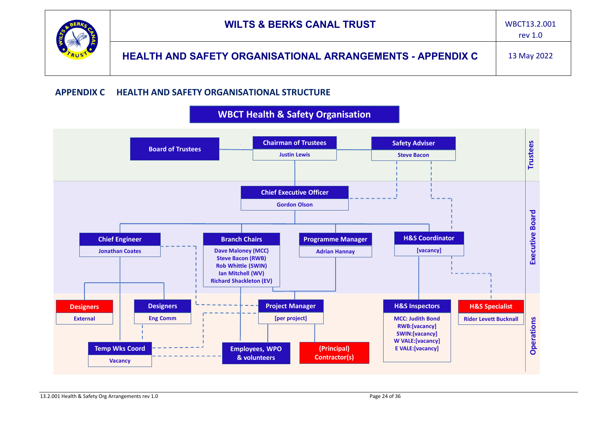|            | <b>WILTS &amp; BERKS CANAL TRUST</b>                              | WBCT13.2.001<br>rev $1.0$ |
|------------|-------------------------------------------------------------------|---------------------------|
| Ã<br>TRUST | <b>HEALTH AND SAFETY ORGANISATIONAL ARRANGEMENTS - APPENDIX C</b> | 13 May 2022               |

#### **APPENDIX C HEALTH AND SAFETY ORGANISATIONAL STRUCTURE**

<span id="page-23-0"></span>![](_page_23_Figure_2.jpeg)

![](_page_23_Figure_3.jpeg)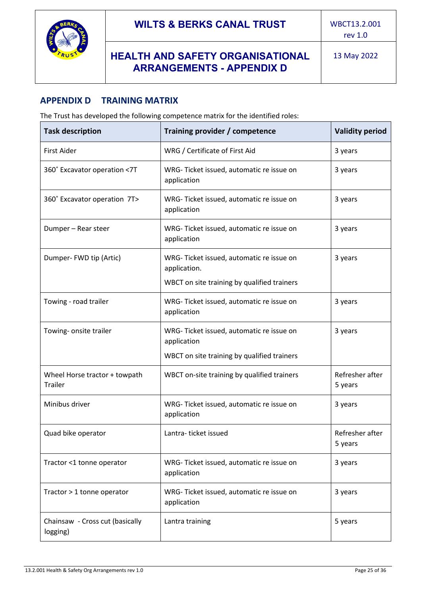![](_page_24_Picture_0.jpeg)

## <span id="page-24-0"></span>**APPENDIX D TRAINING MATRIX**

The Trust has developed the following competence matrix for the identified roles:

| <b>Task description</b>                     | Training provider / competence                           | <b>Validity period</b>     |
|---------------------------------------------|----------------------------------------------------------|----------------------------|
| <b>First Aider</b>                          | WRG / Certificate of First Aid                           | 3 years                    |
| 360° Excavator operation <7T                | WRG-Ticket issued, automatic re issue on<br>application  | 3 years                    |
| 360° Excavator operation 7T>                | WRG-Ticket issued, automatic re issue on<br>application  | 3 years                    |
| Dumper - Rear steer                         | WRG-Ticket issued, automatic re issue on<br>application  | 3 years                    |
| Dumper-FWD tip (Artic)                      | WRG-Ticket issued, automatic re issue on<br>application. | 3 years                    |
|                                             | WBCT on site training by qualified trainers              |                            |
| Towing - road trailer                       | WRG-Ticket issued, automatic re issue on<br>application  | 3 years                    |
| Towing- onsite trailer                      | WRG-Ticket issued, automatic re issue on<br>application  | 3 years                    |
|                                             | WBCT on site training by qualified trainers              |                            |
| Wheel Horse tractor + towpath<br>Trailer    | WBCT on-site training by qualified trainers              | Refresher after<br>5 years |
| Minibus driver                              | WRG-Ticket issued, automatic re issue on<br>application  | 3 years                    |
| Quad bike operator                          | Lantra-ticket issued                                     | Refresher after<br>5 years |
| Tractor <1 tonne operator                   | WRG-Ticket issued, automatic re issue on<br>application  | 3 years                    |
| Tractor > 1 tonne operator                  | WRG-Ticket issued, automatic re issue on<br>application  | 3 years                    |
| Chainsaw - Cross cut (basically<br>logging) | Lantra training                                          | 5 years                    |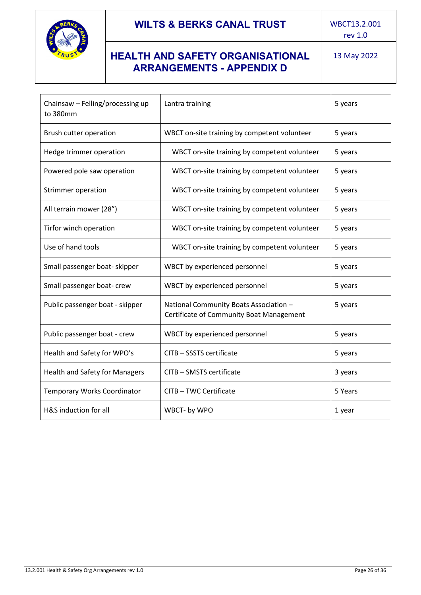![](_page_25_Picture_0.jpeg)

rev 1.0

# **HEALTH AND SAFETY ORGANISATIONAL ARRANGEMENTS - APPENDIX D**

| Chainsaw - Felling/processing up<br>to 380mm | Lantra training                                                                    | 5 years |
|----------------------------------------------|------------------------------------------------------------------------------------|---------|
| Brush cutter operation                       | WBCT on-site training by competent volunteer                                       | 5 years |
| Hedge trimmer operation                      | WBCT on-site training by competent volunteer                                       | 5 years |
| Powered pole saw operation                   | WBCT on-site training by competent volunteer                                       | 5 years |
| Strimmer operation                           | WBCT on-site training by competent volunteer                                       | 5 years |
| All terrain mower (28")                      | WBCT on-site training by competent volunteer                                       | 5 years |
| Tirfor winch operation                       | WBCT on-site training by competent volunteer                                       | 5 years |
| Use of hand tools                            | WBCT on-site training by competent volunteer                                       | 5 years |
| Small passenger boat- skipper                | WBCT by experienced personnel                                                      | 5 years |
| Small passenger boat- crew                   | WBCT by experienced personnel                                                      | 5 years |
| Public passenger boat - skipper              | National Community Boats Association -<br>Certificate of Community Boat Management | 5 years |
| Public passenger boat - crew                 | WBCT by experienced personnel                                                      | 5 years |
| Health and Safety for WPO's                  | CITB - SSSTS certificate                                                           | 5 years |
| Health and Safety for Managers               | CITB - SMSTS certificate                                                           | 3 years |
| <b>Temporary Works Coordinator</b>           | CITB - TWC Certificate                                                             | 5 Years |
| H&S induction for all                        | WBCT- by WPO                                                                       | 1 year  |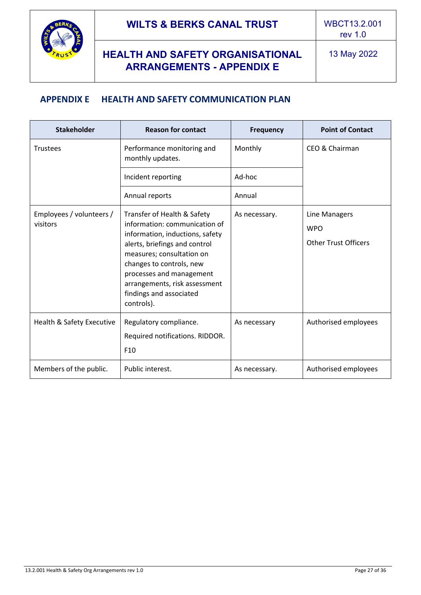![](_page_26_Picture_0.jpeg)

# **HEALTH AND SAFETY ORGANISATIONAL ARRANGEMENTS - APPENDIX E**

## <span id="page-26-0"></span>**APPENDIX E HEALTH AND SAFETY COMMUNICATION PLAN**

| <b>Stakeholder</b>                   | <b>Reason for contact</b>                                                                                                                                                                                                                                                                       | <b>Frequency</b> | <b>Point of Contact</b>                                    |
|--------------------------------------|-------------------------------------------------------------------------------------------------------------------------------------------------------------------------------------------------------------------------------------------------------------------------------------------------|------------------|------------------------------------------------------------|
| Trustees                             | Performance monitoring and<br>monthly updates.                                                                                                                                                                                                                                                  | Monthly          | CEO & Chairman                                             |
|                                      | Incident reporting                                                                                                                                                                                                                                                                              |                  |                                                            |
|                                      | Annual reports                                                                                                                                                                                                                                                                                  | Annual           |                                                            |
| Employees / volunteers /<br>visitors | Transfer of Health & Safety<br>information: communication of<br>information, inductions, safety<br>alerts, briefings and control<br>measures; consultation on<br>changes to controls, new<br>processes and management<br>arrangements, risk assessment<br>findings and associated<br>controls). | As necessary.    | Line Managers<br><b>WPO</b><br><b>Other Trust Officers</b> |
| Health & Safety Executive            | Regulatory compliance.<br>Required notifications. RIDDOR.<br>F <sub>10</sub>                                                                                                                                                                                                                    | As necessary     | Authorised employees                                       |
| Members of the public.               | Public interest.                                                                                                                                                                                                                                                                                | As necessary.    | Authorised employees                                       |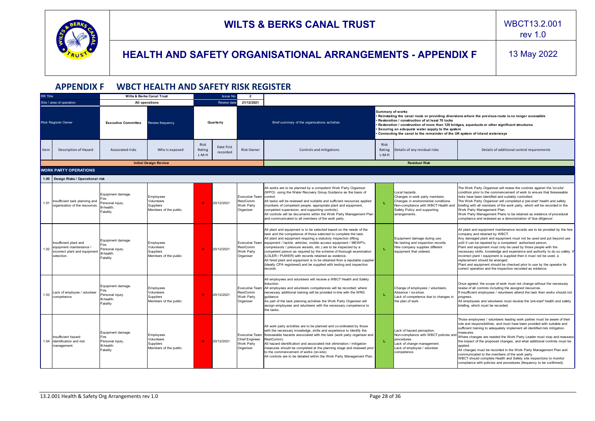![](_page_27_Picture_0.jpeg)

rev 1.0

<span id="page-27-0"></span>

|                              | <b>APPENDIX F</b>                                                                                |                                                                          | <b>WBCT HEALTH AND SAFETY RISK REGISTER</b>                   |                           |                        |                                                                           |                                                                                                                                                                                                                                                                                                                                                                                                                                                                                                                                                                                                                                               |                                                                                                                                                                                                                                                                                                                                                                                                                       |                                                                                                                                                                                  |                                                                                                                                                                                                                                                                                                                                                                                                                                                                                                                                                                                                                                                                                        |
|------------------------------|--------------------------------------------------------------------------------------------------|--------------------------------------------------------------------------|---------------------------------------------------------------|---------------------------|------------------------|---------------------------------------------------------------------------|-----------------------------------------------------------------------------------------------------------------------------------------------------------------------------------------------------------------------------------------------------------------------------------------------------------------------------------------------------------------------------------------------------------------------------------------------------------------------------------------------------------------------------------------------------------------------------------------------------------------------------------------------|-----------------------------------------------------------------------------------------------------------------------------------------------------------------------------------------------------------------------------------------------------------------------------------------------------------------------------------------------------------------------------------------------------------------------|----------------------------------------------------------------------------------------------------------------------------------------------------------------------------------|----------------------------------------------------------------------------------------------------------------------------------------------------------------------------------------------------------------------------------------------------------------------------------------------------------------------------------------------------------------------------------------------------------------------------------------------------------------------------------------------------------------------------------------------------------------------------------------------------------------------------------------------------------------------------------------|
| <b>RR</b> Title              |                                                                                                  |                                                                          | <b>Wilts &amp; Berks Canal Trust</b>                          |                           | Issue No.              | $\overline{\mathbf{2}}$                                                   |                                                                                                                                                                                                                                                                                                                                                                                                                                                                                                                                                                                                                                               |                                                                                                                                                                                                                                                                                                                                                                                                                       |                                                                                                                                                                                  |                                                                                                                                                                                                                                                                                                                                                                                                                                                                                                                                                                                                                                                                                        |
|                              | Site / area of operation                                                                         |                                                                          | All operations                                                |                           | Review date            | 21/12/2021                                                                |                                                                                                                                                                                                                                                                                                                                                                                                                                                                                                                                                                                                                                               |                                                                                                                                                                                                                                                                                                                                                                                                                       |                                                                                                                                                                                  |                                                                                                                                                                                                                                                                                                                                                                                                                                                                                                                                                                                                                                                                                        |
|                              | <b>Risk Register Owner</b>                                                                       | <b>Executive Committee</b>                                               | Review frequency                                              |                           | Quarterly              |                                                                           | Brief summary of the organisations activities                                                                                                                                                                                                                                                                                                                                                                                                                                                                                                                                                                                                 | <b>Summary of works</b><br>Reinstating the canal route or providing diversions where the previous route is no longer accessible<br>Restoration / construction of at least 70 locks<br>Restoration / construction of more than 120 bridges, aqueducts or other significant structures<br>Securing an adequate water supply to the system<br>Connecting the canal to the remainder of the UK system of inland waterways |                                                                                                                                                                                  |                                                                                                                                                                                                                                                                                                                                                                                                                                                                                                                                                                                                                                                                                        |
| Item                         | Description of Hazard                                                                            | Associated risks                                                         | Who is exposed                                                | Risk<br>Rating<br>$L-M-H$ | Date first<br>recorded | <b>Risk Owner</b>                                                         | Controls and mitigations                                                                                                                                                                                                                                                                                                                                                                                                                                                                                                                                                                                                                      | Risk<br>Rating<br>$L-M-H$                                                                                                                                                                                                                                                                                                                                                                                             | Details of any residual risks                                                                                                                                                    | Details of additional control requirements                                                                                                                                                                                                                                                                                                                                                                                                                                                                                                                                                                                                                                             |
|                              |                                                                                                  |                                                                          | <b>Initial Design Review</b>                                  |                           |                        |                                                                           |                                                                                                                                                                                                                                                                                                                                                                                                                                                                                                                                                                                                                                               |                                                                                                                                                                                                                                                                                                                                                                                                                       | <b>Residual Risk</b>                                                                                                                                                             |                                                                                                                                                                                                                                                                                                                                                                                                                                                                                                                                                                                                                                                                                        |
| <b>WORK PARTY OPERATIONS</b> |                                                                                                  |                                                                          |                                                               |                           |                        |                                                                           |                                                                                                                                                                                                                                                                                                                                                                                                                                                                                                                                                                                                                                               |                                                                                                                                                                                                                                                                                                                                                                                                                       |                                                                                                                                                                                  |                                                                                                                                                                                                                                                                                                                                                                                                                                                                                                                                                                                                                                                                                        |
|                              | 1.00   Design Risks / Operational risk                                                           |                                                                          |                                                               |                           |                        |                                                                           |                                                                                                                                                                                                                                                                                                                                                                                                                                                                                                                                                                                                                                               |                                                                                                                                                                                                                                                                                                                                                                                                                       |                                                                                                                                                                                  |                                                                                                                                                                                                                                                                                                                                                                                                                                                                                                                                                                                                                                                                                        |
| 1.01                         | Insufficient task planning and<br>organisation of the resources.                                 | Equipment damage.<br>Personal injury.<br>III-health<br>Fatality          | Employees<br>Volunteers<br>Suppliers<br>Members of the public | . н.                      | 20/12/2021             | <b>Executive Team</b><br>RestComm<br>Work Party<br>Organiser              | All works are to be planned by a competent Work Party Organiser<br>(WPO) using the Water Recovery Group Guidance as the basis of<br>control.<br>All tasks will be reviewed and suitable and sufficient resources applied<br>(numbers of competent people, appropriate plant and equipment,<br>competent supervision, and supporting controls).<br>All controls will be documents within the Work Party Management Plan<br>and communicated to all members of the work party.                                                                                                                                                                  | L.                                                                                                                                                                                                                                                                                                                                                                                                                    | Local hazards.<br>Changes in work party members.<br>Changes in environmental conditions.<br>Non-compliance with WBCT Health and<br>Safety Policy and supporting<br>arrangements. | The Work Party Organiser will review the controls against the 'on-site'<br>condition prior to the commencement of work to ensure that foreseeable<br>risks have been identified and suitably controlled.<br>The Work Party Organiser will completed a 'pre-start' health and safety<br>briefing with all members of the work party, which will be recorded in the<br>Work Party Management Plan.<br>Work Party Management Plans to be retained as evidence of procedural<br>compliance and reviewed as a demonstration of 'due diligence'.                                                                                                                                             |
| 1.02                         | Insufficient plant and<br>equipment maintenance /<br>incorrect plant and equipment<br>selection. | Equipment damage.<br>Fire.<br>Personal injury.<br>III-health<br>Fatality | Employees<br>Volunteers<br>Suppliers<br>Members of the public | H.                        | 20/12/2021             | Executive Team<br>RestComm<br>Work Party<br>Organiser                     | All plant and equipment is to be selected based on the needs of the<br>task and the competence of those selected to complete the task.<br>All plant and equipment requiring a statutory inspection (lifting<br>equipment / tackle, vehicles, mobile access equipment / MEWP's,<br>compressors / pressure vessels, etc.) are to be inspected by a<br>competent person as required by the scheme of thorough examination<br>(LOLER / PUWER) with records retained as evidence.<br>All hired plant and equipment is to be obtained from a reputable supplier<br>(ideally CPA registered) and be supplied with testing and inspection<br>records. | T.                                                                                                                                                                                                                                                                                                                                                                                                                    | Equipment damage during use.<br>No testing and inspection records.<br>Hire company supplies different<br>equipment that ordered.                                                 | All plant and equipment maintenance records are to be provided by the hire<br>company and retained by WBCT.<br>Any damaged plant and equipment must not be used and put beyond use<br>until it can be repaired by a competent authorised person.<br>Plant and equipment must only be used by those people with the<br>necessary skills, knowledge and experience and authority to do so safely. If<br>incorrect plant / equipment is supplied then it must not be used, a<br>replacement should be arranged.<br>Plant and equipment should be checked prior to use by the operator for<br>correct operation and the inspection recorded as evidence.                                   |
| 1.03                         | Lack of employee / volunteer<br>competence.                                                      | Equipment damage.<br>Personal injury.<br>III-health.<br>Fatality         | Employees<br>Volunteers<br>Suppliers<br>Members of the public | H                         | 20/12/2021             | <b>Executive Team</b><br>RestComm<br>Work Party<br>Organiser              | All employees and volunteers will receive a WBCT Health and Safety<br>Induction.<br>All employees and volunteers competences will be recorded; where<br>necessary additional training will be provided in-line with the WRG<br>quidance.<br>As part of the task planning activities the Work Party Organiser will<br>assign employees and volunteers with the necessary competence to<br>the tasks.                                                                                                                                                                                                                                           | L.                                                                                                                                                                                                                                                                                                                                                                                                                    | Change of employees / volunteers.<br>Absence / no-show.<br>Lack of competence due to changes in<br>the plan of work.                                                             | Once agreed, the scope of work must not change without the necessary<br>review of all controls including the assigned resources.<br>If insufficient employees / volunteers attend the task then works should not<br>progress.<br>All employees and volunteers must receive the 'pre-start' health and safety<br>briefing, which must be recorded.                                                                                                                                                                                                                                                                                                                                      |
|                              | Insufficient hazard<br>1.04 identification and risk<br>management.                               | Equipment damage.<br>Fire<br>Personal injury.<br>III-health<br>Fatality  | Employees<br>Volunteers<br>Suppliers<br>Members of the public | <b>H</b>                  | 20/12/2021             | <b>Executive Team</b><br><b>Chief Engineer</b><br>Work Party<br>Organiser | All work party activities are to be planned and co-ordinated by those<br>with the necessary knowledge, skills and experience to identify the<br>foreseeable hazards associated with the task (work party organiser and<br>RestComm).<br>All hazard identification and associated risk elimination / mitigation<br>measures should be completed at the planning stage and reviewed prior<br>to the commencement of works (on-site).<br>All controls are to be detailed within the Work Party Management Plan.                                                                                                                                  | L.                                                                                                                                                                                                                                                                                                                                                                                                                    | Lack of hazard perception.<br>Non-compliance with WBCT policies and<br>procedures.<br>Lack of change management.<br>Lack of employee / volunteer<br>competence.                  | Those employees / volunteers leading work parties must be aware of their<br>role and responsibilities, and must have been provided with suitable and<br>sufficient training to adequately implement all identified risk mitigation<br>measures.<br>Where changes are needed the Work Party Leader must stop and reassess<br>the impact of the proposed changes, and what additional controls must be<br>applied.<br>All changes must be recorded in the Work Party Management Plan and<br>communicated to the members of the work party.<br>WBCT should complete Health and Safety site inspections to monitor<br>compliance with policies and procedures (frequency to be confirmed). |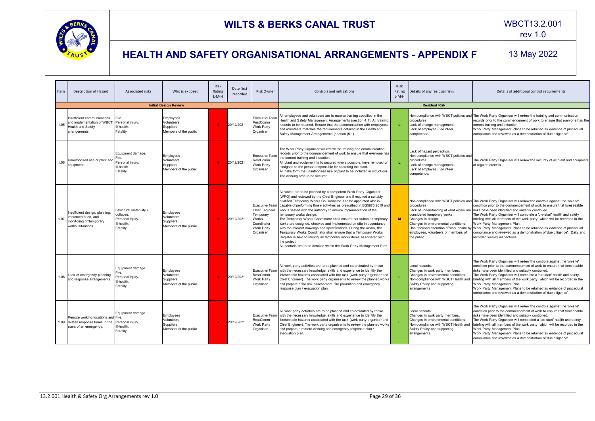![](_page_28_Picture_0.jpeg)

rev 1.0

| Item | Description of Hazard                                                                                   | Associated risks                                                                    | Who is exposed                                                       | <b>Risk</b><br>Rating<br>$L-M-H$ | Date first<br>recorded | <b>Risk Owner</b>                                                                     | Controls and mitigations                                                                                                                                                                                                                                                                                                                                                                                                                                                                                                                                                                                                                                                                                                                                                                                                                                        | <b>Risk</b><br>Rating<br>$L-M-H$ | Details of any residual risks                                                                                                                                                                                                                       | Details of additional control requirements                                                                                                                                                                                                                                                                                                                                                                                                                                                                                                                                                                                |  |  |
|------|---------------------------------------------------------------------------------------------------------|-------------------------------------------------------------------------------------|----------------------------------------------------------------------|----------------------------------|------------------------|---------------------------------------------------------------------------------------|-----------------------------------------------------------------------------------------------------------------------------------------------------------------------------------------------------------------------------------------------------------------------------------------------------------------------------------------------------------------------------------------------------------------------------------------------------------------------------------------------------------------------------------------------------------------------------------------------------------------------------------------------------------------------------------------------------------------------------------------------------------------------------------------------------------------------------------------------------------------|----------------------------------|-----------------------------------------------------------------------------------------------------------------------------------------------------------------------------------------------------------------------------------------------------|---------------------------------------------------------------------------------------------------------------------------------------------------------------------------------------------------------------------------------------------------------------------------------------------------------------------------------------------------------------------------------------------------------------------------------------------------------------------------------------------------------------------------------------------------------------------------------------------------------------------------|--|--|
|      |                                                                                                         |                                                                                     | <b>Initial Design Review</b>                                         |                                  |                        |                                                                                       |                                                                                                                                                                                                                                                                                                                                                                                                                                                                                                                                                                                                                                                                                                                                                                                                                                                                 | <b>Residual Risk</b>             |                                                                                                                                                                                                                                                     |                                                                                                                                                                                                                                                                                                                                                                                                                                                                                                                                                                                                                           |  |  |
| 1.05 | Insufficient communications<br>and implementation of WBCT<br>Health and Safety<br>arrangements.         | Fire.<br>Personal injury.<br>III-health<br>Fatality                                 | Employees<br>Volunteers<br>Suppliers<br>Members of the public        | <b>H</b>                         | 20/12/2021             | <b>Executive Team</b><br>RestComm<br>Work Party<br>Organiser                          | All employees and volunteers are to receive training specified in the<br>Health and Safety Management Arrangements (section 4.1). All training<br>records to be retained. Ensure that the communication with employees<br>and volunteers matches the requirements detailed in the Health and<br>Safety Management Arrangements (section (5.1).                                                                                                                                                                                                                                                                                                                                                                                                                                                                                                                  | T.                               | procedures.<br>Lack of change management.<br>Lack of employee / volunteer<br>competence.                                                                                                                                                            | Non-compliance with WBCT policies and The Work Party Organiser will review the training and communication<br>records prior to the commencement of work to ensure that everyone has the<br>correct training and induction.<br>Work Party Management Plans to be retained as evidence of procedural<br>compliance and reviewed as a demonstration of 'due diligence'.                                                                                                                                                                                                                                                       |  |  |
| 1.06 | Unauthorised use of plant and<br>equipment.                                                             | Equipment damage.<br>Fire.<br>Personal injury.<br>III-health<br>Fatality            | Employees<br>Volunteers<br>Suppliers<br>Members of the public        | н                                | 20/12/2021             | <b>Executive Team</b><br><b>RestComm</b><br>Work Party<br>Organiser                   | The Work Party Organiser will review the training and communication<br>records prior to the commencement of work to ensure that everyone has<br>the correct training and induction.<br>All plant and equipment is to secured where possible, keys removed or<br>assigned to the person responsible for operating the plant.<br>All risks form the unauthorised use of plant to be included in inductions.<br>The working area to be secured.                                                                                                                                                                                                                                                                                                                                                                                                                    | L.                               | Lack of hazard perception.<br>Non-compliance with WBCT policies and<br>procedures.<br>Lack of change management.<br>Lack of employee / volunteer<br>competence.                                                                                     | The Work Party Organiser will review the security of all plant and equipment<br>at regular intervals                                                                                                                                                                                                                                                                                                                                                                                                                                                                                                                      |  |  |
| 1.07 | Insufficient design, planning,<br>implementation, and<br>monitoring of 'temporary<br>works' situations. | Structural instability /<br>collapse.<br>Personal iniurv.<br>III-health<br>Fatality | Employees<br>Volunteers<br><b>Suppliers</b><br>Members of the public | <b>H</b>                         | 20/12/2021             | <b>Chief Engineer</b><br>Temporary<br>Works<br>Coordinator<br>Work Party<br>Organiser | All works are to be planned by a competent Work Party Organiser<br>(WPO) and reviewed by the Chief Engineer and if required a suitably<br>qualified Temporary Works Co-Ordinator is to be appointed who is<br>Executive Team capable of performing those activities as prescribed in BS5975:2019 and<br>who is vested with the authority to ensure implementation of the<br>temporary works design.<br>The Temporary Works Coordinator shall ensure that suitable temporary<br>works are designed, checked and implemented on site in accordance<br>with the relevant drawings and specifications. During the works, the<br>Temporary Works Coordinator shall ensure that a Temporary Works<br>Register is held to identify all temporary works items associated with<br>the project.<br>All controls are to be detailed within the Work Party Management Plan. | M                                | procedures<br>Lack of understanding of what works are<br>considered temporary works.<br>Changes in design.<br>Changes in environmental conditions.<br>Unauthorised alteration of work onsite b<br>employees, volunteers or members of<br>the public | Non-compliance with WBCT policies and The Work Party Organiser will review the controls against the 'on-site'<br>condition prior to the commencement of work to ensure that foreseeable<br>risks have been identified and suitably controlled.<br>The Work Party Organiser will complete a 'pre-start' health and safety<br>briefing with all members of the work party, which will be recorded in the<br>Work Party Management Plan.<br>Work Party Management Plans to be retained as evidence of procedural<br>compliance and reviewed as a demonstration of 'due diligence'. Daily and<br>recorded weekly inspections. |  |  |
| 1.08 | Lack of emergency planning<br>and response arrangements.                                                | Equipment damage.<br>Personal injury.<br>III-health<br>Fatality                     | Employees<br>Volunteers<br><b>Suppliers</b><br>Members of the public | <b>H</b>                         | 20/12/2021             | <b>RestComm</b><br>Work Party<br>Organiser                                            | All work party activities are to be planned and co-ordinated by those<br>Executive Team with the necessary knowledge, skills and experience to identify the<br>foreseeable hazards associated with the task (work party organiser and<br>Chief Engineer). The work party organiser is to review the planned works<br>and prepare a fire risk assessment, fire prevention and emergency<br>response plan / evacuation plan.                                                                                                                                                                                                                                                                                                                                                                                                                                      |                                  | Local hazards.<br>Changes in work party members.<br>Changes in environmental conditions.<br>Non-compliance with WBCT Health and<br>Safety Policy and supporting<br>arrangements.                                                                    | The Work Party Organiser will review the controls against the 'on-site'<br>condition prior to the commencement of work to ensure that foreseeable<br>risks have been identified and suitably controlled.<br>The Work Party Organiser will complete a 'pre-start' health and safety<br>briefing with all members of the work party, which will be recorded in the<br>Work Party Management Plan.<br>Work Party Management Plans to be retained as evidence of procedural<br>compliance and reviewed as a demonstration of 'due diligence'.                                                                                 |  |  |
|      | Remote working locations and Fire.<br>1.09 related response times in the<br>event of an emergency.      | Equipment damage.<br>Personal injury.<br>III-health<br>Fatality                     | Employees<br>Volunteers<br>Suppliers<br>Members of the public        | H.                               | 20/12/2021             | <b>RestComm</b><br>Work Party<br>Organiser                                            | All work party activities are to be planned and co-ordinated by those<br>Executive Team with the necessary knowledge, skills and experience to identify the<br>foreseeable hazards associated with the task (work party organiser and<br>Chief Engineer). The work party organiser is to review the planned works<br>and prepare a remote working and emergency response plan /<br>evacuation plan.                                                                                                                                                                                                                                                                                                                                                                                                                                                             |                                  | Local hazards.<br>Changes in work party members.<br>Changes in environmental conditions.<br>Non-compliance with WBCT Health and<br>Safety Policy and supporting<br>arrangements.                                                                    | The Work Party Organiser will review the controls against the 'on-site'<br>condition prior to the commencement of work to ensure that foreseeable<br>risks have been identified and suitably controlled.<br>The Work Party Organiser will completed a 'pre-start' health and safety<br>briefing with all members of the work party, which will be recorded in the<br>Work Party Management Plan.<br>Work Party Management Plans to be retained as evidence of procedural<br>compliance and reviewed as a demonstration of 'due diligence'.                                                                                |  |  |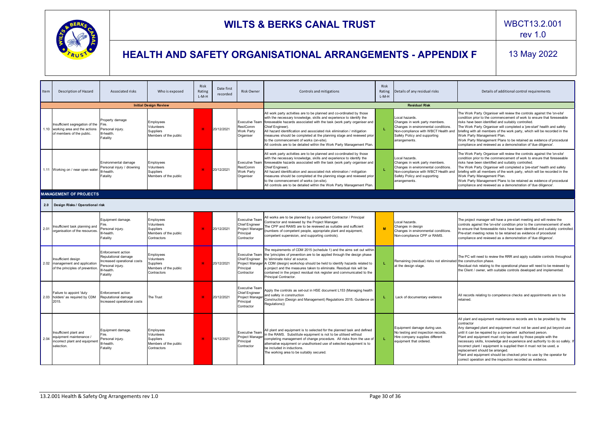![](_page_29_Picture_0.jpeg)

rev 1.0

| Item | <b>Description of Hazard</b>                                                                      | Associated risks                                                                                                        | Who is exposed                                                               | Risk<br>Rating<br>$L-M-H$ | Date first<br>recorded | <b>Risk Owner</b>                                                                            | Controls and mitigations                                                                                                                                                                                                                                                                                                                                                                                                                                                                                           | Risk<br>Rating<br>$L-M-H$ | Details of any residual risks                                                                                                                                                    | Details of additional control requirements                                                                                                                                                                                                                                                                                                                                                                                                                                                                                                                                                                                   |
|------|---------------------------------------------------------------------------------------------------|-------------------------------------------------------------------------------------------------------------------------|------------------------------------------------------------------------------|---------------------------|------------------------|----------------------------------------------------------------------------------------------|--------------------------------------------------------------------------------------------------------------------------------------------------------------------------------------------------------------------------------------------------------------------------------------------------------------------------------------------------------------------------------------------------------------------------------------------------------------------------------------------------------------------|---------------------------|----------------------------------------------------------------------------------------------------------------------------------------------------------------------------------|------------------------------------------------------------------------------------------------------------------------------------------------------------------------------------------------------------------------------------------------------------------------------------------------------------------------------------------------------------------------------------------------------------------------------------------------------------------------------------------------------------------------------------------------------------------------------------------------------------------------------|
|      |                                                                                                   |                                                                                                                         | <b>Initial Design Review</b>                                                 |                           |                        |                                                                                              | <b>Residual Risk</b>                                                                                                                                                                                                                                                                                                                                                                                                                                                                                               |                           |                                                                                                                                                                                  |                                                                                                                                                                                                                                                                                                                                                                                                                                                                                                                                                                                                                              |
|      | Insufficient segregation of the<br>1.10 working area and the actions<br>of members of the public. | Property damage<br>Fire.<br>Personal injury<br>III-health<br>Fatality                                                   | Employees<br>Volunteers<br>Suppliers<br>Members of the public                | <b>H</b>                  | 20/12/2021             | <b>Executive Team</b><br>RestComm<br><b>Work Party</b><br>Organiser                          | All work party activities are to be planned and co-ordinated by those<br>with the necessary knowledge, skills and experience to identify the<br>foreseeable hazards associated with the task (work party organiser and<br>Chief Engineer).<br>All hazard identification and associated risk elimination / mitigation<br>measures should be completed at the planning stage and reviewed prior<br>to the commencement of works (on-site).<br>All controls are to be detailed within the Work Party Management Plan. |                           | Local hazards.<br>Changes in work party members.<br>Changes in environmental conditions.<br>Non-compliance with WBCT Health and<br>Safety Policy and supporting<br>arrangements. | The Work Party Organiser will review the controls against the 'on-site'<br>condition prior to the commencement of work to ensure that foreseeable<br>risks have been identified and suitably controlled.<br>The Work Party Organiser will completed a 'pre-start' health and safety<br>briefing with all members of the work party, which will be recorded in the<br>Work Party Management Plan.<br>Work Party Management Plans to be retained as evidence of procedural<br>compliance and reviewed as a demonstration of 'due diligence'.                                                                                   |
|      | 1.11 Working on / near open water.                                                                | Environmental damage<br>Personal injury / drowning<br>ll-health<br>Fatality                                             | Employees<br>Volunteers<br>Suppliers<br>Members of the public                | <b>H</b>                  | 20/12/2021             | <b>Executive Team</b><br><b>RestComm</b><br><b>Work Party</b><br>Organiser                   | All work party activities are to be planned and co-ordinated by those<br>with the necessary knowledge, skills and experience to identify the<br>foreseeable hazards associated with the task (work party organiser and<br>Chief Engineer).<br>All hazard identification and associated risk elimination / mitigation<br>measures should be completed at the planning stage and reviewed prior<br>to the commencement of works (on-site).<br>All controls are to be detailed within the Work Party Management Plan. |                           | Local hazards.<br>Changes in work party members.<br>Changes in environmental conditions.<br>Non-compliance with WBCT Health and<br>Safety Policy and supporting<br>arrangements. | The Work Party Organiser will review the controls against the 'on-site'<br>condition prior to the commencement of work to ensure that foreseeable<br>risks have been identified and suitably controlled.<br>The Work Party Organiser will completed a 'pre-start' health and safety<br>briefing with all members of the work party, which will be recorded in the<br>Work Party Management Plan.<br>Work Party Management Plans to be retained as evidence of procedural<br>compliance and reviewed as a demonstration of 'due diligence'.                                                                                   |
|      | <b>MANAGEMENT OF PROJECTS</b>                                                                     |                                                                                                                         |                                                                              |                           |                        |                                                                                              |                                                                                                                                                                                                                                                                                                                                                                                                                                                                                                                    |                           |                                                                                                                                                                                  |                                                                                                                                                                                                                                                                                                                                                                                                                                                                                                                                                                                                                              |
| 2.0  | Design Risks / Operational risk                                                                   |                                                                                                                         |                                                                              |                           |                        |                                                                                              |                                                                                                                                                                                                                                                                                                                                                                                                                                                                                                                    |                           |                                                                                                                                                                                  |                                                                                                                                                                                                                                                                                                                                                                                                                                                                                                                                                                                                                              |
| 2.01 | Insufficient task planning and<br>organisation of the resources                                   | Equipment damage.<br>Personal iniury<br>III-health<br>Fatality                                                          | Employees<br>Volunteers<br>Suppliers<br>Members of the public<br>Contractors | н.                        | 20/12/2021             | <b>Executive Team</b><br><b>Chief Engineer</b><br>Project Manager<br>Principal<br>Contractor | All works are to be planned by a competent Contractor / Principal<br>Contractor and reviewed by the Project Manager.<br>The CPP and RAMS are to be reviewed as suitable and sufficient<br>(numbers of competent people, appropriate plant and equipment,<br>competent supervision, and supporting controls).                                                                                                                                                                                                       | M                         | Local hazards.<br>Changes in design<br>Changes in environmental conditions.<br>Non-compliance CPP or RAMS.                                                                       | The project manager will have a pre-start meeting and will review the<br>controls against the 'on-site' condition prior to the commencement of work<br>to ensure that foreseeable risks have been identified and suitably controlled.<br>Pre-start meeting notes to be retained as evidence of procedural<br>compliance and reviewed as a demonstration of 'due diligence'.                                                                                                                                                                                                                                                  |
| 2.02 | Insufficient desian<br>management and application<br>of the principles of prevention.             | Enforcement action<br>Reputational damage<br>Increased operational costs<br>Personal iniurv.<br>III-health.<br>Fatality | Employees<br>Volunteers<br>Suppliers<br>Members of the public<br>Contractors | <b>H</b>                  | 20/12/2021             | <b>Executive Team</b><br><b>Chief Engineer</b><br>Project Manager<br>Principal<br>Contractor | The requirements of CDM 2015 (schedule 1) and the aims set out within<br>the 'principles of prevention are to be applied through the design phase<br>to 'eliminate risks' at source.<br>A CDM (design) workshop should be held to identify hazards related to<br>a project and the measures taken to eliminate. Residual risk will be<br>contained in the project residual risk register and communicated to the<br>Principal Contractor.                                                                          |                           | Remaining (residual) risks not eliminated<br>at the design stage.                                                                                                                | The PC will need to review the RRR and apply suitable controls throughout<br>the construction phase.<br>Residual risk relating to the operational phase will need to be reviewed by<br>the Client / owner, with suitable controls developed and implemented.                                                                                                                                                                                                                                                                                                                                                                 |
|      | Failure to appoint 'duty<br>2.03 holders' as required by CDM<br>2015.                             | Enforcement action<br>Reputational damage<br>Increased operational costs                                                | The Trust                                                                    | <b>H</b>                  | 20/12/2021             | <b>Executive Team</b><br>Chief Engineer<br>Project Manager<br>Principal<br>Contractor        | Apply the controls as set-out in HSE document L153 (Managing health<br>and safety in construction<br>Construction (Design and Management) Regulations 2015. Guidance on<br>Regulations))                                                                                                                                                                                                                                                                                                                           |                           | Lack of documentary evidence                                                                                                                                                     | All records relating to competence checks and appointments are to be<br>retained                                                                                                                                                                                                                                                                                                                                                                                                                                                                                                                                             |
| 2.04 | Insufficient plant and<br>equipment maintenance /<br>incorrect plant and equipment<br>selection.  | Equipment damage.<br>Fire.<br>Personal iniurv<br>Il-health<br>Fatality                                                  | Employees<br>Volunteers<br>Suppliers<br>Members of the public<br>Contractors | <b>H</b>                  | 14/12/2021             | <b>Executive Team</b><br>Project Manager<br>Principal<br>Contractor                          | All plant and equipment is to selected for the planned task and defined<br>in the RAMS. Substitute equipment is not to be utilised without<br>completing management of change procedure. All risks from the use of<br>alternative equipment or unauthorised use of selected equipment is to<br>be included in inductions.<br>The working area to be suitably secured.                                                                                                                                              |                           | Equipment damage during use.<br>No testing and inspection records.<br>Hire company supplies different<br>equipment that ordered.                                                 | All plant and equipment maintenance records are to be provided by the<br>contractor<br>Any damaged plant and equipment must not be used and put beyond use<br>until it can be repaired by a competent authorised person.<br>Plant and equipment must only be used by those people with the<br>necessary skills, knowledge and experience and authority to do so safely. If<br>incorrect plant / equipment is supplied then it must not be used, a<br>replacement should be arranged.<br>Plant and equipment should be checked prior to use by the operator for<br>correct operation and the inspection recorded as evidence. |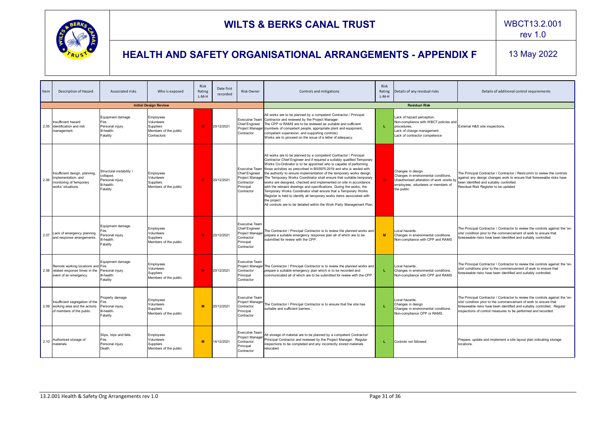![](_page_30_Picture_0.jpeg)

rev 1.0

| Item | Description of Hazard                                                                                   | <b>Associated risks</b>                                                             | Who is exposed                                                                      | Risk<br>Rating<br>$L-M-H$ | Date first<br>recorded | <b>Risk Owner</b>                                                                                   | Controls and mitigations                                                                                                                                                                                                                                                                                                                                                                                                                                                                                                                                                                                                                                                                                                                                                                                                                         | Risk<br>Rating<br>$L-M-H$ | Details of any residual risks                                                                                                                                | Details of additional control requirements                                                                                                                                                                                                                                                    |
|------|---------------------------------------------------------------------------------------------------------|-------------------------------------------------------------------------------------|-------------------------------------------------------------------------------------|---------------------------|------------------------|-----------------------------------------------------------------------------------------------------|--------------------------------------------------------------------------------------------------------------------------------------------------------------------------------------------------------------------------------------------------------------------------------------------------------------------------------------------------------------------------------------------------------------------------------------------------------------------------------------------------------------------------------------------------------------------------------------------------------------------------------------------------------------------------------------------------------------------------------------------------------------------------------------------------------------------------------------------------|---------------------------|--------------------------------------------------------------------------------------------------------------------------------------------------------------|-----------------------------------------------------------------------------------------------------------------------------------------------------------------------------------------------------------------------------------------------------------------------------------------------|
|      |                                                                                                         |                                                                                     | <b>Initial Design Review</b>                                                        |                           |                        |                                                                                                     |                                                                                                                                                                                                                                                                                                                                                                                                                                                                                                                                                                                                                                                                                                                                                                                                                                                  |                           | <b>Residual Risk</b>                                                                                                                                         |                                                                                                                                                                                                                                                                                               |
|      | Insufficient hazard<br>2.05 dentification and risk<br>management.                                       | Equipment damage.<br>Fire.<br>Personal injury.<br>III-health<br>Fatality            | Employees<br>Volunteers<br><b>Suppliers</b><br>Members of the public<br>Contractors | <b>H</b>                  | 20/12/2021             | Executive Team<br>Chief Engineer<br>Project Manager<br>Contractor                                   | All works are to be planned by a competent Contractor / Principal<br>Contractor and reviewed by the Project Manager.<br>The CPP or RAMS are to be reviewed as suitable and sufficient<br>(numbers of competent people, appropriate plant and equipment,<br>competent supervision, and supporting controls).<br>Works are to proceed on the issue of a letter of adequacy.                                                                                                                                                                                                                                                                                                                                                                                                                                                                        | L.                        | Lack of hazard perception.<br>Non-compliance with WBCT policies and<br>procedures.<br>Lack of change management.<br>Lack of contractor competence            | External H&S site inspections.                                                                                                                                                                                                                                                                |
| 2.06 | Insufficient design, planning,<br>implementation, and<br>monitoring of 'temporary<br>works' situations. | Structural instability /<br>collapse.<br>Personal iniurv.<br>III-health<br>Fatality | Employees<br>Volunteers<br>Suppliers<br>Members of the public                       | <b>H</b>                  | 20/12/2021             | <b>Executive Team</b><br><b>Chief Engineer</b><br>Contractor<br>Principal<br>Contractor             | All works are to be planned by a competent Contractor / Principal<br>Contractor Chief Engineer and if required a suitably qualified Temporary<br>Works Co-Ordinator is to be appointed who is capable of performing<br>those activities as prescribed in BS5975:2019 and who is vested with<br>the authority to ensure implementation of the temporary works design.<br>Project Manager The Temporary Works Coordinator shall ensure that suitable temporary<br>works are designed, checked and implemented on site in accordance<br>with the relevant drawings and specifications. During the works, the<br>Temporary Works Coordinator shall ensure that a Temporary Works<br>Register is held to identify all temporary works items associated with<br>the project.<br>All controls are to be detailed within the Work Party Management Plan. | H                         | Changes in design.<br>Changes in environmental conditions.<br>Unauthorised alteration of work onsite by<br>employees, volunteers or members of<br>the public | The Principal Contractor / Contractor / Restcomm to review the controls<br>against any design changes work to ensure that foreseeable risks have<br>been identified and suitably controlled.<br>Residual Risk Register to be updated                                                          |
| 2.07 | Lack of emergency planning<br>and response arrangements.                                                | Equipment damage.<br>Personal iniurv.<br>III-health<br>Fatality                     | Employees<br>Volunteers<br>Suppliers<br>Members of the public                       | <b>H</b>                  | 20/12/2021             | <b>Executive Team</b><br>Chief Engineer<br>Project Manager<br>Contractor<br>Principal<br>Contractor | The Contractor / Principal Contractor is to review the planned works and<br>prepare a suitable emergency response plan all of which are to be<br>submitted for review with the CPP.                                                                                                                                                                                                                                                                                                                                                                                                                                                                                                                                                                                                                                                              | M                         | Local hazards.<br>Changes in environmental conditions.<br>Non-compliance with CPP and RAMS                                                                   | The Principal Contractor / Contractor to review the controls against the 'on-<br>site' condition prior to the commencement of work to ensure that<br>foreseeable risks have been identified and suitably controlled.                                                                          |
|      | Remote working locations and Fire.<br>2.08 related response times in the<br>event of an emergency.      | Equipment damage.<br>Personal injury.<br>III-health<br>Fatality                     | Employees<br>Volunteers<br>Suppliers<br>Members of the public                       | H                         | 20/12/2021             | <b>Executive Team</b><br>Project Manager<br>Contractor<br>Principal<br>Contractor                   | The Contractor / Principal Contractor is to review the planned works and<br>prepare a suitable emergency plan which is to be recorded and<br>communicated all of which are to be submitted for review with the CPP.                                                                                                                                                                                                                                                                                                                                                                                                                                                                                                                                                                                                                              | L.                        | Local hazards<br>Changes in environmental conditions.<br>Non-compliance with CPP and RAMS                                                                    | The Principal Contractor / Contractor to review the controls against the 'on-<br>site' conditions prior to the commencement of work to ensure that<br>foreseeable risks have been identified and suitably controlled.                                                                         |
|      | Insufficient segregation of the<br>2.09 working area and the actions<br>of members of the public.       | Property damage<br>Fire.<br>Personal iniurv.<br>III-health.<br>Fatality             | Employees<br>Volunteers<br>Suppliers<br>Members of the public                       | <b>M</b>                  | 20/12/2021             | <b>Executive Team</b><br>Project Manage<br>Contractor<br>Principal<br>Contractor                    | The Contractor / Principal Contractor is to ensure that the site has<br>suitable and sufficient barriers                                                                                                                                                                                                                                                                                                                                                                                                                                                                                                                                                                                                                                                                                                                                         |                           | Local hazards.<br>Changes in design<br>Changes in environmental conditions.<br>Non-compliance CPP or RAMS.                                                   | The Principal Contractor / Contractor to review the controls against the 'on-<br>site' condition prior to the commencement of work to ensure that<br>foreseeable risks have been identified and suitably controlled. Regular<br>inspections of control measures to be performed and recorded. |
| 2.10 | Authorised storage of<br>materials                                                                      | Slips, trips and falls.<br>Fire.<br>Personal injury.<br>Death.                      | Employees<br>Volunteers<br>Suppliers<br>Members of the public                       | <b>M</b>                  | 14/12/2021             | <b>Executive Team</b><br>Project Manager<br>Contractor<br>Principal<br>Contractor                   | All storage of material are to be planned by a competent Contractor/<br>Principal Contractor and reviewed by the Project Manager. Regular<br>inspections to be completed and any incorrectly stored materials<br>relocated.                                                                                                                                                                                                                                                                                                                                                                                                                                                                                                                                                                                                                      | L.                        | Controls not followed.                                                                                                                                       | Prepare, update and implement a site layout plan indicating storage<br>locations                                                                                                                                                                                                              |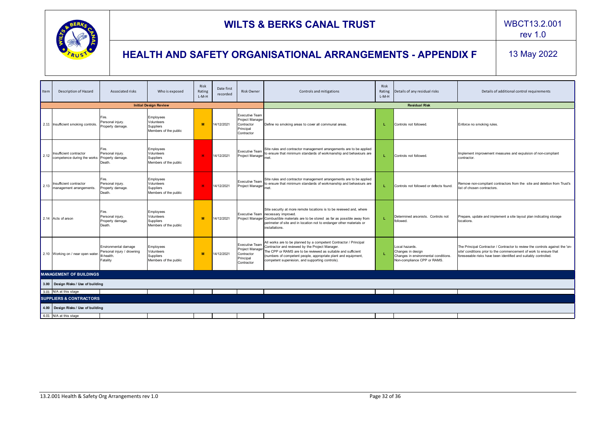![](_page_31_Picture_0.jpeg)

| Item | Description of Hazard                                  | Associated risks                                                              | Who is exposed                                                | Risk<br>Rating<br>L-M-H | Date first<br>recorded | <b>Risk Owner</b>                                                                 | Controls and mitigations                                                                                                                                                                                                                                                                                    | Risk<br>Rating<br>$L-M-H$ | Details of any residual risks                                                                              | Details of additional control requirements                                                                                                                                                                            |  |  |
|------|--------------------------------------------------------|-------------------------------------------------------------------------------|---------------------------------------------------------------|-------------------------|------------------------|-----------------------------------------------------------------------------------|-------------------------------------------------------------------------------------------------------------------------------------------------------------------------------------------------------------------------------------------------------------------------------------------------------------|---------------------------|------------------------------------------------------------------------------------------------------------|-----------------------------------------------------------------------------------------------------------------------------------------------------------------------------------------------------------------------|--|--|
|      |                                                        |                                                                               | <b>Initial Design Review</b>                                  |                         |                        |                                                                                   |                                                                                                                                                                                                                                                                                                             |                           | <b>Residual Risk</b>                                                                                       |                                                                                                                                                                                                                       |  |  |
|      | 2.11 Insufficient smoking controls.                    | Fire.<br>Personal injury.<br>Property damage.                                 | Employees<br>Volunteers<br>Suppliers<br>Members of the public | M                       | 14/12/2021             | <b>Executive Team</b><br>Project Manage<br>Contractor<br>Principal<br>Contractor  | Define no smoking areas to cover all communal areas.                                                                                                                                                                                                                                                        | L.                        | Controls not followed                                                                                      | Enforce no smoking rules.                                                                                                                                                                                             |  |  |
| 2.12 | Insufficient contractor<br>competence during the works | Fire.<br>Personal injury.<br>Property damage.<br>Death.                       | Employees<br>Volunteers<br>Suppliers<br>Members of the public | H.                      | 14/12/2021             | <b>Executive Team</b><br>Project Manager                                          | Site rules and contractor management arrangements are to be applied<br>to ensure that minimum standards of workmanship and behaviours are<br>met                                                                                                                                                            |                           | Controls not followed                                                                                      | Implement improvement measures and expulsion of non-compliant<br>contractor.                                                                                                                                          |  |  |
| 2.13 | Insufficient contractor<br>management arrangements.    | Fire.<br>Personal injury.<br>Property damage.<br>Death.                       | Employees<br>Volunteers<br>Suppliers<br>Members of the public | <b>H</b>                | 14/12/2021             | <b>Executive Team</b><br>Project Manager                                          | Site rules and contractor management arrangements are to be applied<br>to ensure that minimum standards of workmanship and behaviours are<br>met.                                                                                                                                                           |                           | Controls not followed or defects found.                                                                    | Remove non-compliant contractors from the site and deletion from Trust's<br>list of chosen contractors.                                                                                                               |  |  |
|      | 2.14 Acts of arson                                     | Fire.<br>Personal injury.<br>Property damage.<br>Death.                       | Employees<br>Volunteers<br>Suppliers<br>Members of the public | M                       | 14/12/2021             |                                                                                   | Site security at more remote locations is to be reviewed and, where<br>Executive Team necessary improved.<br>Project Manager Combustible materials are to be stored as far as possible away from<br>perimeter of site and in location not to endanger other materials or<br>installations.                  |                           | Determined arsonists. Controls not<br>followed.                                                            | Prepare, update and implement a site layout plan indicating storage<br>locations.                                                                                                                                     |  |  |
|      | 2.10 Working on / near open water.                     | Environmental damage<br>Personal injury / drowning<br>III-health.<br>Fatality | Employees<br>Volunteers<br>Suppliers<br>Members of the public | M                       | 14/12/2021             | <b>Executive Team</b><br>Project Manager<br>Contractor<br>Principal<br>Contractor | All works are to be planned by a competent Contractor / Principal<br>Contractor and reviewed by the Project Manager.<br>The CPP or RAMS are to be reviewed as suitable and sufficient<br>(numbers of competent people, appropriate plant and equipment,<br>competent supervision, and supporting controls). |                           | Local hazards.<br>Changes in design<br>Changes in environmental conditions.<br>Non-compliance CPP or RAMS. | The Principal Contractor / Contractor to review the controls against the 'on-<br>site' conditions prior to the commencement of work to ensure that<br>foreseeable risks have been identified and suitably controlled. |  |  |
|      | <b>MANAGEMENT OF BUILDINGS</b>                         |                                                                               |                                                               |                         |                        |                                                                                   |                                                                                                                                                                                                                                                                                                             |                           |                                                                                                            |                                                                                                                                                                                                                       |  |  |
|      | 3.00   Design Risks / Use of building                  |                                                                               |                                                               |                         |                        |                                                                                   |                                                                                                                                                                                                                                                                                                             |                           |                                                                                                            |                                                                                                                                                                                                                       |  |  |
|      | 3.01 N/A at this stage                                 |                                                                               |                                                               |                         |                        |                                                                                   |                                                                                                                                                                                                                                                                                                             |                           |                                                                                                            |                                                                                                                                                                                                                       |  |  |
|      | <b>SUPPLIERS &amp; CONTRACTORS</b>                     |                                                                               |                                                               |                         |                        |                                                                                   |                                                                                                                                                                                                                                                                                                             |                           |                                                                                                            |                                                                                                                                                                                                                       |  |  |
|      | 4.00   Design Risks / Use of building                  |                                                                               |                                                               |                         |                        |                                                                                   |                                                                                                                                                                                                                                                                                                             |                           |                                                                                                            |                                                                                                                                                                                                                       |  |  |
|      | 4.01 N/A at this stage                                 |                                                                               |                                                               |                         |                        |                                                                                   |                                                                                                                                                                                                                                                                                                             |                           |                                                                                                            |                                                                                                                                                                                                                       |  |  |
|      |                                                        |                                                                               |                                                               |                         |                        |                                                                                   |                                                                                                                                                                                                                                                                                                             |                           |                                                                                                            |                                                                                                                                                                                                                       |  |  |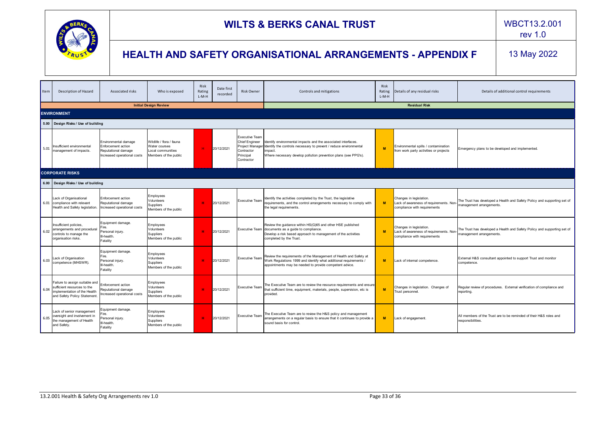![](_page_32_Picture_0.jpeg)

rev 1.0

| Item | Description of Hazard                                                                                                        | Associated risks                                                                                 | Who is exposed                                                                          | <b>Risk</b><br>Rating<br>$L-M-H$ | Date first<br>recorded | <b>Risk Owner</b>                                                                                          | Controls and mitigations                                                                                                                                                                                         | <b>Risk</b><br>Rating<br>$L-M-H$ | Details of any residual risks                                                                      | Details of additional control requirements                                                           |
|------|------------------------------------------------------------------------------------------------------------------------------|--------------------------------------------------------------------------------------------------|-----------------------------------------------------------------------------------------|----------------------------------|------------------------|------------------------------------------------------------------------------------------------------------|------------------------------------------------------------------------------------------------------------------------------------------------------------------------------------------------------------------|----------------------------------|----------------------------------------------------------------------------------------------------|------------------------------------------------------------------------------------------------------|
|      |                                                                                                                              |                                                                                                  | <b>Initial Design Review</b>                                                            |                                  |                        |                                                                                                            |                                                                                                                                                                                                                  |                                  | <b>Residual Risk</b>                                                                               |                                                                                                      |
|      | <b>ENVIRONMENT</b>                                                                                                           |                                                                                                  |                                                                                         |                                  |                        |                                                                                                            |                                                                                                                                                                                                                  |                                  |                                                                                                    |                                                                                                      |
|      | 5.00   Design Risks / Use of building                                                                                        |                                                                                                  |                                                                                         |                                  |                        |                                                                                                            |                                                                                                                                                                                                                  |                                  |                                                                                                    |                                                                                                      |
| 5.01 | Insufficient environmental<br>management of impacts.                                                                         | Environmental damage<br>Enforcement action<br>Reputational damage<br>Increased operational costs | Wildlife / flora / fauna<br>Water courses<br>Local communities<br>Members of the public |                                  | 20/12/2021             | <b>Executive Team</b><br><b>Chief Engineer</b><br>Project Manager<br>Contractor<br>Principal<br>Contractor | Identify environmental impacts and the associated interfaces.<br>Identify the controls necessary to prevent / reduce environmental<br>impact.<br>Where necessary develop pollution prevention plans (see PPG's). | M                                | Environmental spills / contamination<br>from work party activities or projects                     | Emergency plans to be developed and implemented.                                                     |
|      | <b>CORPORATE RISKS</b>                                                                                                       |                                                                                                  |                                                                                         |                                  |                        |                                                                                                            |                                                                                                                                                                                                                  |                                  |                                                                                                    |                                                                                                      |
|      | 6.00   Design Risks / Use of building                                                                                        |                                                                                                  |                                                                                         |                                  |                        |                                                                                                            |                                                                                                                                                                                                                  |                                  |                                                                                                    |                                                                                                      |
|      | Lack of Organisational<br>6.01 compliance with relevant<br>Health and Safety legislation.                                    | Enforcement action<br>Reputational damage<br>Increased operational costs                         | Employees<br>Volunteers<br>Suppliers<br>Members of the public                           | н                                | 20/12/2021             | <b>Executive Team</b>                                                                                      | Identify the activities completed by the Trust, the legislative<br>requirements, and the control arrangements necessary to comply with<br>the legal requirements.                                                | M                                | Changes in legislation.<br>Lack of awareness of requirements. Non-<br>compliance with requirements | The Trust has developed a Health and Safety Policy and supporting set of<br>management arrangements. |
| 6.02 | Insufficient policies,<br>arrangements and procedural<br>controls to manage the<br>organisation risks.                       | Equipment damage.<br>Fire.<br>Personal injury.<br>III-health.<br>Fatality                        | Employees<br>Volunteers<br><b>Suppliers</b><br>Members of the public                    | н.                               | 20/12/2021             |                                                                                                            | Review the guidance within HS(G)65 and other HSE published<br>Executive Team documents as a guide to compliance.<br>Develop a risk based approach to management of the activities<br>completed by the Trust.     | M                                | Changes in legislation.<br>Lack of awareness of requirements. Non-<br>compliance with requirements | The Trust has developed a Health and Safety Policy and supporting set of<br>management arrangements. |
| 6.03 | Lack of Organisation<br>competence (MHSWR).                                                                                  | Equipment damage.<br>Fire.<br>Personal injury.<br>III-health.<br>Fatality                        | Employees<br>Volunteers<br>Suppliers<br>Members of the public                           | н.                               | 20/12/2021             | <b>Executive Team</b>                                                                                      | Review the requirements of the Management of Health and Safety at<br>Work Regulations 1999 and identify what additional requirements /<br>appointments may be needed to provide competent advice.                | M                                | Lack of internal competence.                                                                       | External H&S consultant appointed to support Trust and monitor<br>competence.                        |
| 6.04 | Failure to assign suitable and<br>sufficient resources to the<br>implementation of the Health<br>and Safety Policy Statement | Enforcement action<br>Reputational damage<br>ncreased operational costs                          | Employees<br>Volunteers<br><b>Suppliers</b><br>Members of the public                    | н                                | 20/12/2021             | <b>Executive Team</b>                                                                                      | The Executive Team are to review the resource requirements and ensure<br>hat sufficient time, equipment, materials, people, supervision, etc is<br>provided.                                                     | M                                | Changes in legislation. Changes of<br>Trust personnel.                                             | Regular review of procedures. External verification of compliance and<br>reporting.                  |
| 6.05 | Lack of senior management<br>oversight and involvement in<br>the management of Health<br>and Safety.                         | Equipment damage.<br>Fire.<br>Personal injury.<br>II-health<br>Fatality                          | Employees<br>Volunteers<br><b>Suppliers</b><br>Members of the public                    | н                                | 20/12/2021             | <b>Executive Team</b>                                                                                      | The Executive Team are to review the H&S policy and management<br>arrangements on a regular basis to ensure that it continues to provide a<br>sound basis for control.                                           | M                                | Lack of engagement.                                                                                | All members of the Trust are to be reminded of their H&S roles and<br>responsibilities.              |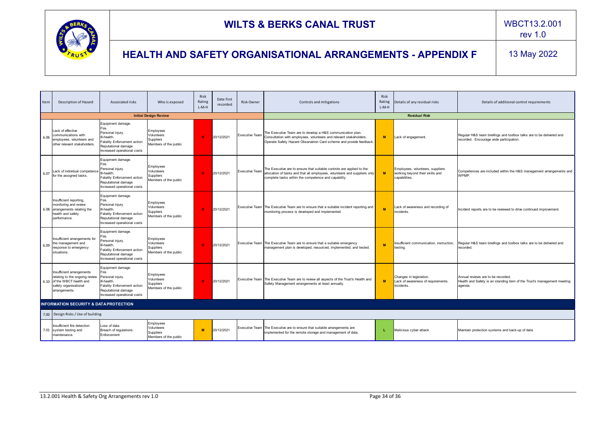![](_page_33_Picture_0.jpeg)

#### rev 1.0

| Item | Description of Hazard                                                                                                                | Associated risks                                                                                                                                          | Who is exposed                                                | Risk<br>Rating<br>L-M-H | Date first<br>recorded | <b>Risk Owner</b>     | Controls and mitigations                                                                                                                                                                                   | <b>Risk</b><br>Rating<br>$L-M-H$ | Details of any residual risks                                                        | Details of additional control requirements                                                                              |  |  |  |
|------|--------------------------------------------------------------------------------------------------------------------------------------|-----------------------------------------------------------------------------------------------------------------------------------------------------------|---------------------------------------------------------------|-------------------------|------------------------|-----------------------|------------------------------------------------------------------------------------------------------------------------------------------------------------------------------------------------------------|----------------------------------|--------------------------------------------------------------------------------------|-------------------------------------------------------------------------------------------------------------------------|--|--|--|
|      |                                                                                                                                      |                                                                                                                                                           | <b>Initial Design Review</b>                                  |                         |                        |                       |                                                                                                                                                                                                            | <b>Residual Risk</b>             |                                                                                      |                                                                                                                         |  |  |  |
| 6.06 | Lack of effective<br>communications with<br>employees, volunteers and<br>other relevant stakeholders.                                | Equipment damage.<br>Fire.<br>Personal injury.<br>III-health.<br>Fatality Enforcement action<br>Reputational damage<br>Increased operational costs        | Employees<br>Volunteers<br>Suppliers<br>Members of the public | <b>H</b>                | 20/12/2021             | <b>Executive Team</b> | The Executive Team are to develop a H&S communication plan.<br>Consultation with employees, volunteers and relevant stakeholders.<br>Operate Safety Hazard Observation Card scheme and provide feedback.   | <b>M</b>                         | Lack of engagement.                                                                  | Regular H&S team briefings and toolbox talks are to be delivered and<br>recorded. Encourage wide participation.         |  |  |  |
| 6.07 | Lack of individual competence<br>for the assigned tasks.                                                                             | Equipment damage.<br>Fire.<br>Personal injury.<br>III-health.<br><b>Fatality Enforcement action</b><br>Reputational damage<br>Increased operational costs | Employees<br>Volunteers<br>Suppliers<br>Members of the public | -H                      | 20/12/2021             | <b>Executive Team</b> | The Executive are to ensure that suitable controls are applied to the<br>allocation of tasks and that all employees, volunteers and suppliers only<br>complete tasks within the competence and capability. | M                                | Employees, volunteers, suppliers<br>working beyond their skills and<br>capabilities. | Competences are included within the H&S management arrangements and<br>WPMP.                                            |  |  |  |
|      | Insufficient reporting,<br>monitoring and review<br>6.08 arrangements relating the<br>health and safety<br>performance.              | Equipment damage.<br>Fire.<br>Personal injury.<br>III-health.<br><b>Fatality Enforcement action</b><br>Reputational damage<br>Increased operational costs | Employees<br>Volunteers<br>Suppliers<br>Members of the public | H.                      | 20/12/2021             |                       | Executive Team The Executive Team are to ensure that a suitable incident reporting and<br>monitoring process is developed and implemented.                                                                 |                                  | Lack of awareness and recording of<br>incidents.                                     | Incident reports are to be reviewed to drive continued improvement.                                                     |  |  |  |
| 6.09 | Insufficient arrangements for<br>the management and<br>response to emergency<br>situations.                                          | Equipment damage.<br>Personal injury.<br>III-health.<br>Fatality Enforcement action<br>Reputational damage<br>Increased operational costs                 | Employees<br>Volunteers<br>Suppliers<br>Members of the public | <b>H</b>                | 20/12/2021             |                       | Executive Team   The Executive Team are to ensure that a suitable emergency<br>management plan is developed, resourced, implemented, and tested.                                                           | M                                | Insufficient communication, instruction,<br>testing.                                 | Regular H&S team briefings and toolbox talks are to be delivered and<br>recorded.                                       |  |  |  |
|      | Insufficient arrangements<br>relating to the ongoing review<br>6.10 of the WBCT health and<br>safety organisational<br>arrangements. | Equipment damage.<br>Fire.<br>Personal injury.<br>III-health.<br>Fatality Enforcement action<br>Reputational damage<br>Increased operational costs        | Employees<br>Volunteers<br>Suppliers<br>Members of the public | H.                      | 20/12/2021             |                       | Executive Team   The Executive Team are to review all aspects of the Trust's Health and<br>Safety Management arrangements at least annually.                                                               | M.                               | Changes in legislation.<br>Lack of awareness of requirements.<br>Incidents.          | Annual reviews are to be recorded.<br>Health and Safety is an standing item of the Trust's management meeting<br>agenda |  |  |  |
|      | <b>INFORMATION SECURITY &amp; DATA PROTECTION</b>                                                                                    |                                                                                                                                                           |                                                               |                         |                        |                       |                                                                                                                                                                                                            |                                  |                                                                                      |                                                                                                                         |  |  |  |
|      | 7.00 Design Risks / Use of building                                                                                                  |                                                                                                                                                           |                                                               |                         |                        |                       |                                                                                                                                                                                                            |                                  |                                                                                      |                                                                                                                         |  |  |  |
|      | Insufficient fire detection<br>7.01 system testing and<br>maintenance.                                                               | Loss of data.<br>Breach of regulations.<br>Enforcement                                                                                                    | Employees<br>Volunteers<br>Suppliers<br>Members of the public | M                       | 20/12/2021             |                       | Executive Team   The Executive are to ensure that suitable arrangements are<br>implemented for the remote storage and management of data.                                                                  |                                  | Malicious cyber attack                                                               | Maintain protection systems and back-up of data.                                                                        |  |  |  |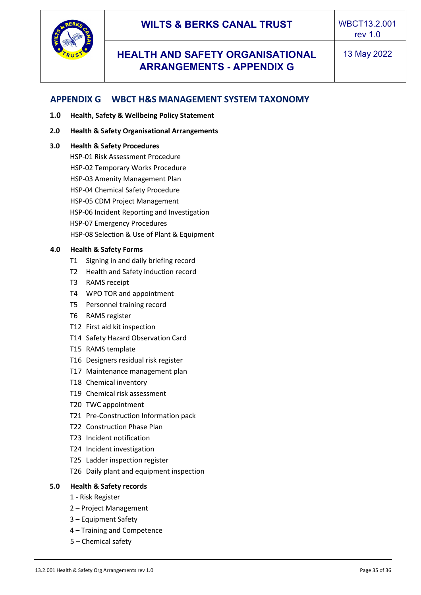## **HEALTH AND SAFETY ORGANISATIONAL ARRANGEMENTS - APPENDIX G**

## <span id="page-34-0"></span>**APPENDIX G WBCT H&S MANAGEMENT SYSTEM TAXONOMY**

- **1.0 Health, Safety & Wellbeing Policy Statement**
- **2.0 Health & Safety Organisational Arrangements**

#### **3.0 Health & Safety Procedures**

HSP-01 Risk Assessment Procedure HSP-02 Temporary Works Procedure HSP-03 Amenity Management Plan HSP-04 Chemical Safety Procedure HSP-05 CDM Project Management HSP-06 Incident Reporting and Investigation HSP-07 Emergency Procedures HSP-08 Selection & Use of Plant & Equipment

#### **4.0 Health & Safety Forms**

- T1 Signing in and daily briefing record
- T2 Health and Safety induction record
- T3 RAMS receipt
- T4 WPO TOR and appointment
- T5 Personnel training record
- T6 RAMS register
- T12 First aid kit inspection
- T14 Safety Hazard Observation Card
- T15 RAMS template
- T16 Designers residual risk register
- T17 Maintenance management plan
- T18 Chemical inventory
- T19 Chemical risk assessment
- T20 TWC appointment
- T21 Pre-Construction Information pack
- T22 Construction Phase Plan
- T23 Incident notification
- T24 Incident investigation
- T25 Ladder inspection register
- T26 Daily plant and equipment inspection

#### **5.0 Health & Safety records**

- 1 Risk Register
- 2 Project Management
- 3 Equipment Safety
- 4 Training and Competence
- 5 Chemical safety